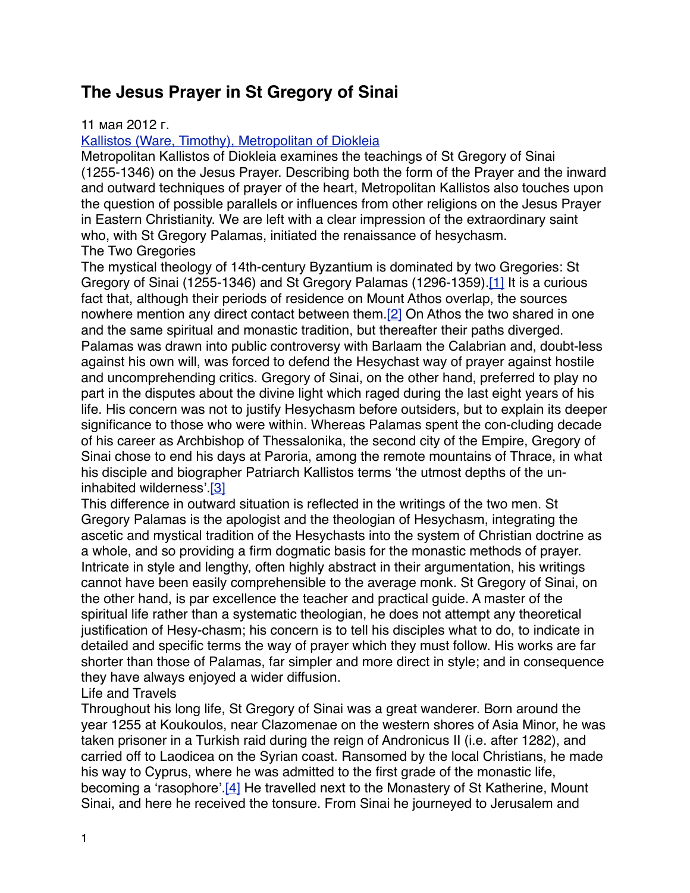## **The Jesus Prayer in St Gregory of Sinai**

## 11 мая 2012 г.

## [Kallistos \(Ware, Timothy\), Metropolitan of Diokleia](http://www.bogoslov.ru/persons/2315548/index.html)

Metropolitan Kallistos of Diokleia examines the teachings of St Gregory of Sinai (1255-1346) on the Jesus Prayer. Describing both the form of the Prayer and the inward and outward techniques of prayer of the heart, Metropolitan Kallistos also touches upon the question of possible parallels or influences from other religions on the Jesus Prayer in Eastern Christianity. We are left with a clear impression of the extraordinary saint who, with St Gregory Palamas, initiated the renaissance of hesychasm. The Two Gregories

The mystical theology of 14th-century Byzantium is dominated by two Gregories: St Gregory of Sinai (1255-1346) and St Gregory Palamas (1296-1359)[.\[1\]](http://www.bogoslov.ru/text/2588738.html#_ftn2) It is a curious fact that, although their periods of residence on Mount Athos overlap, the sources nowhere mention any direct contact between them.<sup>[2]</sup> On Athos the two shared in one and the same spiritual and monastic tradition, but thereafter their paths diverged. Palamas was drawn into public controversy with Barlaam the Calabrian and, doubt-less against his own will, was forced to defend the Hesychast way of prayer against hostile and uncomprehending critics. Gregory of Sinai, on the other hand, preferred to play no part in the disputes about the divine light which raged during the last eight years of his life. His concern was not to justify Hesychasm before outsiders, but to explain its deeper significance to those who were within. Whereas Palamas spent the con-cluding decade of his career as Archbishop of Thessalonika, the second city of the Empire, Gregory of Sinai chose to end his days at Paroria, among the remote mountains of Thrace, in what his disciple and biographer Patriarch Kallistos terms 'the utmost depths of the uninhabited wilderness'.[\[3\]](http://www.bogoslov.ru/text/2588738.html#_ftn4)

This difference in outward situation is reflected in the writings of the two men. St Gregory Palamas is the apologist and the theologian of Hesychasm, integrating the ascetic and mystical tradition of the Hesychasts into the system of Christian doctrine as a whole, and so providing a firm dogmatic basis for the monastic methods of prayer. Intricate in style and lengthy, often highly abstract in their argumentation, his writings cannot have been easily comprehensible to the average monk. St Gregory of Sinai, on the other hand, is par excellence the teacher and practical guide. A master of the spiritual life rather than a systematic theologian, he does not attempt any theoretical justification of Hesy-chasm; his concern is to tell his disciples what to do, to indicate in detailed and specific terms the way of prayer which they must follow. His works are far shorter than those of Palamas, far simpler and more direct in style; and in consequence they have always enjoyed a wider diffusion.

Life and Travels

Throughout his long life, St Gregory of Sinai was a great wanderer. Born around the year 1255 at Koukoulos, near Clazomenae on the western shores of Asia Minor, he was taken prisoner in a Turkish raid during the reign of Andronicus II (i.e. after 1282), and carried off to Laodicea on the Syrian coast. Ransomed by the local Christians, he made his way to Cyprus, where he was admitted to the first grade of the monastic life, becoming a 'rasophore'[.\[4\]](http://www.bogoslov.ru/text/2588738.html#_ftn5) He travelled next to the Monastery of St Katherine, Mount Sinai, and here he received the tonsure. From Sinai he journeyed to Jerusalem and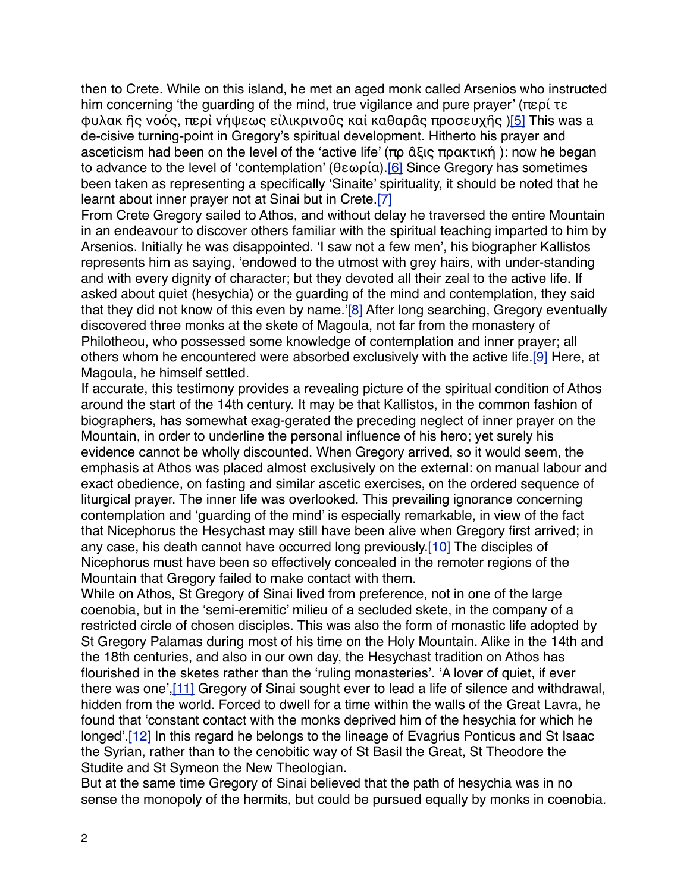then to Crete. While on this island, he met an aged monk called Arsenios who instructed him concerning 'the guarding of the mind, true vigilance and pure prayer' (περί τε φυλακ ῆς νοός, περὶ νήψεως εἰλικρινοῦς καὶ καθαρᾶς προσευχῆς [\)\[5\]](http://www.bogoslov.ru/text/2588738.html#_ftn6) This was a de-cisive turning-point in Gregory's spiritual development. Hitherto his prayer and asceticism had been on the level of the 'active life' (πρ ᾶξις πρακτική ): now he began to advance to the level of 'contemplation' (θεωρία)[.\[6\]](http://www.bogoslov.ru/text/2588738.html#_ftn7) Since Gregory has sometimes been taken as representing a specifically 'Sinaite' spirituality, it should be noted that he learnt about inner prayer not at Sinai but in Crete.[\[7\]](http://www.bogoslov.ru/text/2588738.html#_ftn8)

From Crete Gregory sailed to Athos, and without delay he traversed the entire Mountain in an endeavour to discover others familiar with the spiritual teaching imparted to him by Arsenios. Initially he was disappointed. 'I saw not a few men', his biographer Kallistos represents him as saying, 'endowed to the utmost with grey hairs, with under-standing and with every dignity of character; but they devoted all their zeal to the active life. If asked about quiet (hesychia) or the guarding of the mind and contemplation, they said that they did not know of this even by name.'[\[8\]](http://www.bogoslov.ru/text/2588738.html#_ftn9) After long searching, Gregory eventually discovered three monks at the skete of Magoula, not far from the monastery of Philotheou, who possessed some knowledge of contemplation and inner prayer; all others whom he encountered were absorbed exclusively with the active life.[\[9\]](http://www.bogoslov.ru/text/2588738.html#_ftn10) Here, at Magoula, he himself settled.

If accurate, this testimony provides a revealing picture of the spiritual condition of Athos around the start of the 14th century. It may be that Kallistos, in the common fashion of biographers, has somewhat exag-gerated the preceding neglect of inner prayer on the Mountain, in order to underline the personal influence of his hero; yet surely his evidence cannot be wholly discounted. When Gregory arrived, so it would seem, the emphasis at Athos was placed almost exclusively on the external: on manual labour and exact obedience, on fasting and similar ascetic exercises, on the ordered sequence of liturgical prayer. The inner life was overlooked. This prevailing ignorance concerning contemplation and 'guarding of the mind' is especially remarkable, in view of the fact that Nicephorus the Hesychast may still have been alive when Gregory first arrived; in any case, his death cannot have occurred long previously.[\[10\]](http://www.bogoslov.ru/text/2588738.html#_ftn11) The disciples of Nicephorus must have been so effectively concealed in the remoter regions of the Mountain that Gregory failed to make contact with them.

While on Athos, St Gregory of Sinai lived from preference, not in one of the large coenobia, but in the 'semi-eremitic' milieu of a secluded skete, in the company of a restricted circle of chosen disciples. This was also the form of monastic life adopted by St Gregory Palamas during most of his time on the Holy Mountain. Alike in the 14th and the 18th centuries, and also in our own day, the Hesychast tradition on Athos has flourished in the sketes rather than the 'ruling monasteries'. 'A lover of quiet, if ever there was one'[,\[11\]](http://www.bogoslov.ru/text/2588738.html#_ftn12) Gregory of Sinai sought ever to lead a life of silence and withdrawal, hidden from the world. Forced to dwell for a time within the walls of the Great Lavra, he found that 'constant contact with the monks deprived him of the hesychia for which he longed'.<sup>[12]</sup> In this regard he belongs to the lineage of Evagrius Ponticus and St Isaac the Syrian, rather than to the cenobitic way of St Basil the Great, St Theodore the Studite and St Symeon the New Theologian.

But at the same time Gregory of Sinai believed that the path of hesychia was in no sense the monopoly of the hermits, but could be pursued equally by monks in coenobia.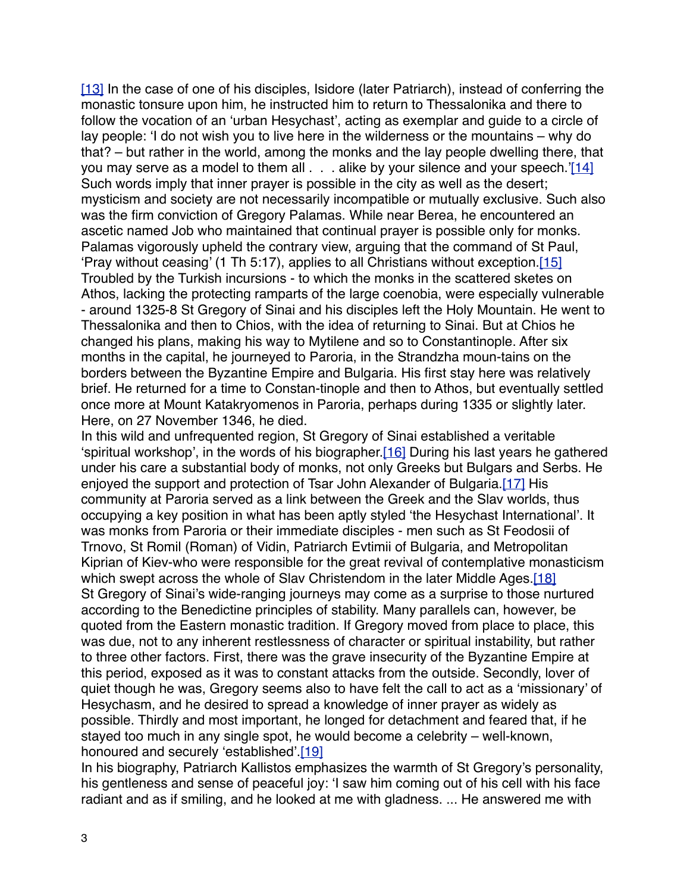[\[13\]](http://www.bogoslov.ru/text/2588738.html#_ftn14) In the case of one of his disciples, Isidore (later Patriarch), instead of conferring the monastic tonsure upon him, he instructed him to return to Thessalonika and there to follow the vocation of an 'urban Hesychast', acting as exemplar and guide to a circle of lay people: 'I do not wish you to live here in the wilderness or the mountains – why do that? – but rather in the world, among the monks and the lay people dwelling there, that you may serve as a model to them all . . . alike by your silence and your speech.'[\[14\]](http://www.bogoslov.ru/text/2588738.html#_ftn15) Such words imply that inner prayer is possible in the city as well as the desert; mysticism and society are not necessarily incompatible or mutually exclusive. Such also was the firm conviction of Gregory Palamas. While near Berea, he encountered an ascetic named Job who maintained that continual prayer is possible only for monks. Palamas vigorously upheld the contrary view, arguing that the command of St Paul, 'Pray without ceasing' (1 Th 5:17), applies to all Christians without exception.[\[15\]](http://www.bogoslov.ru/text/2588738.html#_ftn16) Troubled by the Turkish incursions - to which the monks in the scattered sketes on Athos, lacking the protecting ramparts of the large coenobia, were especially vulnerable - around 1325-8 St Gregory of Sinai and his disciples left the Holy Mountain. He went to Thessalonika and then to Chios, with the idea of returning to Sinai. But at Chios he changed his plans, making his way to Mytilene and so to Constantinople. After six months in the capital, he journeyed to Paroria, in the Strandzha moun-tains on the borders between the Byzantine Empire and Bulgaria. His first stay here was relatively brief. He returned for a time to Constan-tinople and then to Athos, but eventually settled once more at Mount Katakryomenos in Paroria, perhaps during 1335 or slightly later. Here, on 27 November 1346, he died.

In this wild and unfrequented region, St Gregory of Sinai established a veritable 'spiritual workshop', in the words of his biographer[.\[16\]](http://www.bogoslov.ru/text/2588738.html#_ftn17) During his last years he gathered under his care a substantial body of monks, not only Greeks but Bulgars and Serbs. He enjoyed the support and protection of Tsar John Alexander of Bulgaria[.\[17\]](http://www.bogoslov.ru/text/2588738.html#_ftn18) His community at Paroria served as a link between the Greek and the Slav worlds, thus occupying a key position in what has been aptly styled 'the Hesychast International'. It was monks from Paroria or their immediate disciples - men such as St Feodosii of Trnovo, St Romil (Roman) of Vidin, Patriarch Evtimii of Bulgaria, and Metropolitan Kiprian of Kiev-who were responsible for the great revival of contemplative monasticism which swept across the whole of Slav Christendom in the later Middle Ages.[\[18\]](http://www.bogoslov.ru/text/2588738.html#_ftn19) St Gregory of Sinai's wide-ranging journeys may come as a surprise to those nurtured according to the Benedictine principles of stability. Many parallels can, however, be quoted from the Eastern monastic tradition. If Gregory moved from place to place, this was due, not to any inherent restlessness of character or spiritual instability, but rather to three other factors. First, there was the grave insecurity of the Byzantine Empire at this period, exposed as it was to constant attacks from the outside. Secondly, lover of quiet though he was, Gregory seems also to have felt the call to act as a 'missionary' of Hesychasm, and he desired to spread a knowledge of inner prayer as widely as possible. Thirdly and most important, he longed for detachment and feared that, if he stayed too much in any single spot, he would become a celebrity – well-known, honoured and securely 'established'.[\[19\]](http://www.bogoslov.ru/text/2588738.html#_ftn20)

In his biography, Patriarch Kallistos emphasizes the warmth of St Gregory's personality, his gentleness and sense of peaceful joy: 'I saw him coming out of his cell with his face radiant and as if smiling, and he looked at me with gladness. ... He answered me with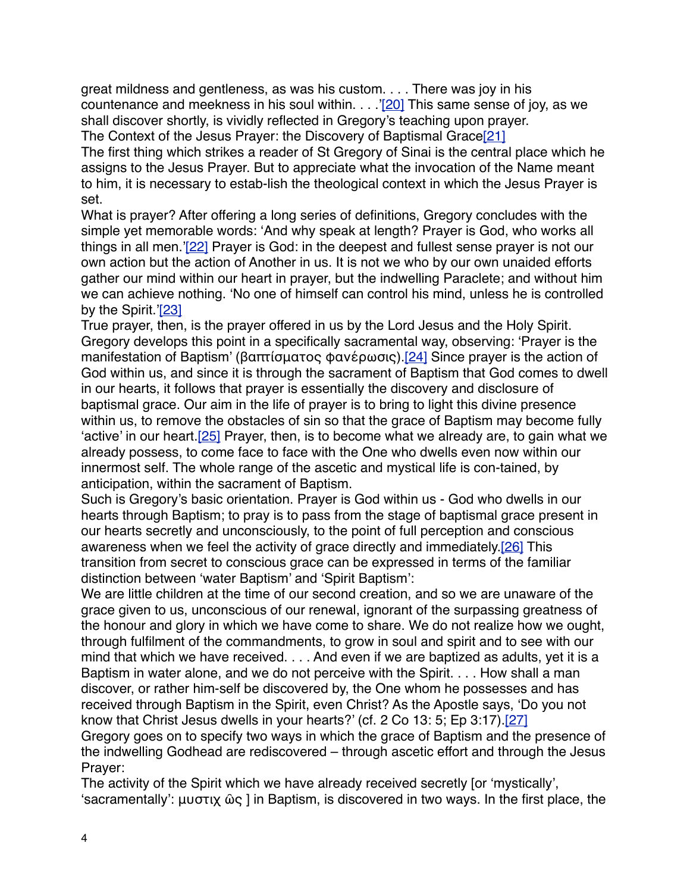great mildness and gentleness, as was his custom. . . . There was joy in his countenance and meekness in his soul within. . . .'[\[20\]](http://www.bogoslov.ru/text/2588738.html#_ftn21) This same sense of joy, as we shall discover shortly, is vividly reflected in Gregory's teaching upon prayer.

The Context of the Jesus Prayer: the Discovery of Baptismal Grace[\[21\]](http://www.bogoslov.ru/text/2588738.html#_ftn22)

The first thing which strikes a reader of St Gregory of Sinai is the central place which he assigns to the Jesus Prayer. But to appreciate what the invocation of the Name meant to him, it is necessary to estab-lish the theological context in which the Jesus Prayer is set.

What is prayer? After offering a long series of definitions, Gregory concludes with the simple yet memorable words: 'And why speak at length? Prayer is God, who works all things in all men.'[\[22\]](http://www.bogoslov.ru/text/2588738.html#_ftn23) Prayer is God: in the deepest and fullest sense prayer is not our own action but the action of Another in us. It is not we who by our own unaided efforts gather our mind within our heart in prayer, but the indwelling Paraclete; and without him we can achieve nothing. 'No one of himself can control his mind, unless he is controlled by the Spirit.['\[23\]](http://www.bogoslov.ru/text/2588738.html#_ftn24)

True prayer, then, is the prayer offered in us by the Lord Jesus and the Holy Spirit. Gregory develops this point in a specifically sacramental way, observing: 'Prayer is the manifestation of Baptism' (βαπτίσματος φανέρωσις)[.\[24\]](http://www.bogoslov.ru/text/2588738.html#_ftn25) Since prayer is the action of God within us, and since it is through the sacrament of Baptism that God comes to dwell in our hearts, it follows that prayer is essentially the discovery and disclosure of baptismal grace. Our aim in the life of prayer is to bring to light this divine presence within us, to remove the obstacles of sin so that the grace of Baptism may become fully 'active' in our heart.[\[25\]](http://www.bogoslov.ru/text/2588738.html#_ftn26) Prayer, then, is to become what we already are, to gain what we already possess, to come face to face with the One who dwells even now within our innermost self. The whole range of the ascetic and mystical life is con-tained, by anticipation, within the sacrament of Baptism.

Such is Gregory's basic orientation. Prayer is God within us - God who dwells in our hearts through Baptism; to pray is to pass from the stage of baptismal grace present in our hearts secretly and unconsciously, to the point of full perception and conscious awareness when we feel the activity of grace directly and immediately.[\[26\]](http://www.bogoslov.ru/text/2588738.html#_ftn27) This transition from secret to conscious grace can be expressed in terms of the familiar distinction between 'water Baptism' and 'Spirit Baptism':

We are little children at the time of our second creation, and so we are unaware of the grace given to us, unconscious of our renewal, ignorant of the surpassing greatness of the honour and glory in which we have come to share. We do not realize how we ought, through fulfilment of the commandments, to grow in soul and spirit and to see with our mind that which we have received. . . . And even if we are baptized as adults, yet it is a Baptism in water alone, and we do not perceive with the Spirit. . . . How shall a man discover, or rather him-self be discovered by, the One whom he possesses and has received through Baptism in the Spirit, even Christ? As the Apostle says, 'Do you not know that Christ Jesus dwells in your hearts?' (cf. 2 Co 13: 5; Ep 3:17)[.\[27\]](http://www.bogoslov.ru/text/2588738.html#_ftn28)

Gregory goes on to specify two ways in which the grace of Baptism and the presence of the indwelling Godhead are rediscovered – through ascetic effort and through the Jesus Prayer:

The activity of the Spirit which we have already received secretly [or 'mystically', 'sacramentally': μυστιχ ῶς ] in Baptism, is discovered in two ways. In the first place, the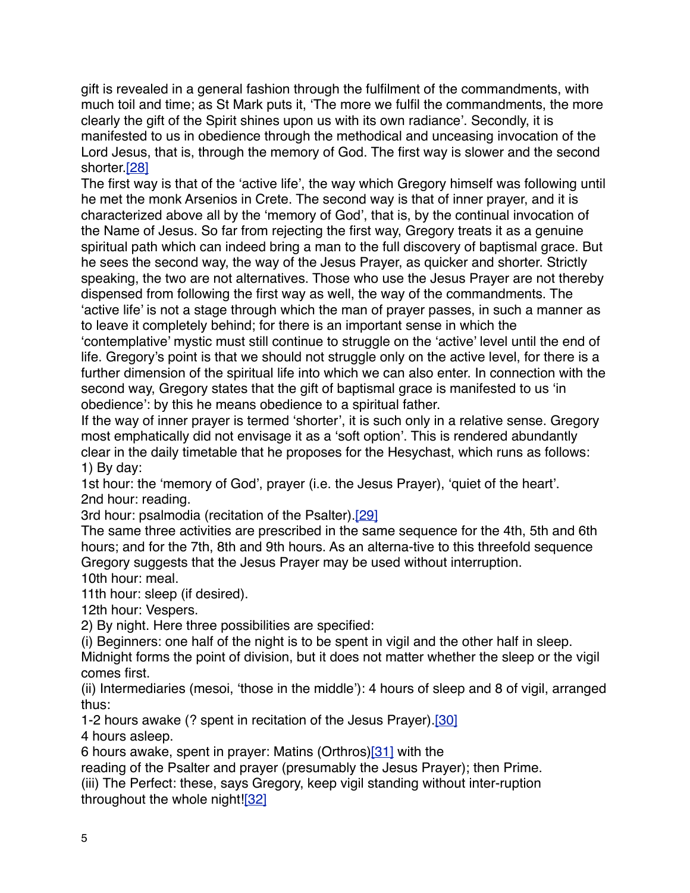gift is revealed in a general fashion through the fulfilment of the commandments, with much toil and time; as St Mark puts it, 'The more we fulfil the commandments, the more clearly the gift of the Spirit shines upon us with its own radiance'. Secondly, it is manifested to us in obedience through the methodical and unceasing invocation of the Lord Jesus, that is, through the memory of God. The first way is slower and the second shorter[.\[28\]](http://www.bogoslov.ru/text/2588738.html#_ftn29)

The first way is that of the 'active life', the way which Gregory himself was following until he met the monk Arsenios in Crete. The second way is that of inner prayer, and it is characterized above all by the 'memory of God', that is, by the continual invocation of the Name of Jesus. So far from rejecting the first way, Gregory treats it as a genuine spiritual path which can indeed bring a man to the full discovery of baptismal grace. But he sees the second way, the way of the Jesus Prayer, as quicker and shorter. Strictly speaking, the two are not alternatives. Those who use the Jesus Prayer are not thereby dispensed from following the first way as well, the way of the commandments. The 'active life' is not a stage through which the man of prayer passes, in such a manner as to leave it completely behind; for there is an important sense in which the 'contemplative' mystic must still continue to struggle on the 'active' level until the end of life. Gregory's point is that we should not struggle only on the active level, for there is a further dimension of the spiritual life into which we can also enter. In connection with the second way, Gregory states that the gift of baptismal grace is manifested to us 'in obedience': by this he means obedience to a spiritual father.

If the way of inner prayer is termed 'shorter', it is such only in a relative sense. Gregory most emphatically did not envisage it as a 'soft option'. This is rendered abundantly clear in the daily timetable that he proposes for the Hesychast, which runs as follows: 1) By day:

1st hour: the 'memory of God', prayer (i.e. the Jesus Prayer), 'quiet of the heart'. 2nd hour: reading.

3rd hour: psalmodia (recitation of the Psalter)[.\[29\]](http://www.bogoslov.ru/text/2588738.html#_ftn30)

The same three activities are prescribed in the same sequence for the 4th, 5th and 6th hours; and for the 7th, 8th and 9th hours. As an alterna-tive to this threefold sequence Gregory suggests that the Jesus Prayer may be used without interruption. 10th hour: meal.

11th hour: sleep (if desired).

12th hour: Vespers.

2) By night. Here three possibilities are specified:

(i) Beginners: one half of the night is to be spent in vigil and the other half in sleep.

Midnight forms the point of division, but it does not matter whether the sleep or the vigil comes first.

(ii) Intermediaries (mesoi, 'those in the middle'): 4 hours of sleep and 8 of vigil, arranged thus:

1-2 hours awake (? spent in recitation of the Jesus Prayer)[.\[30\]](http://www.bogoslov.ru/text/2588738.html#_ftn31)

4 hours asleep.

6 hours awake, spent in prayer: Matins (Orthros[\)\[31\]](http://www.bogoslov.ru/text/2588738.html#_ftn32) with the

reading of the Psalter and prayer (presumably the Jesus Prayer); then Prime.

(iii) The Perfect: these, says Gregory, keep vigil standing without inter-ruption throughout the whole night![\[32\]](http://www.bogoslov.ru/text/2588738.html#_ftn33)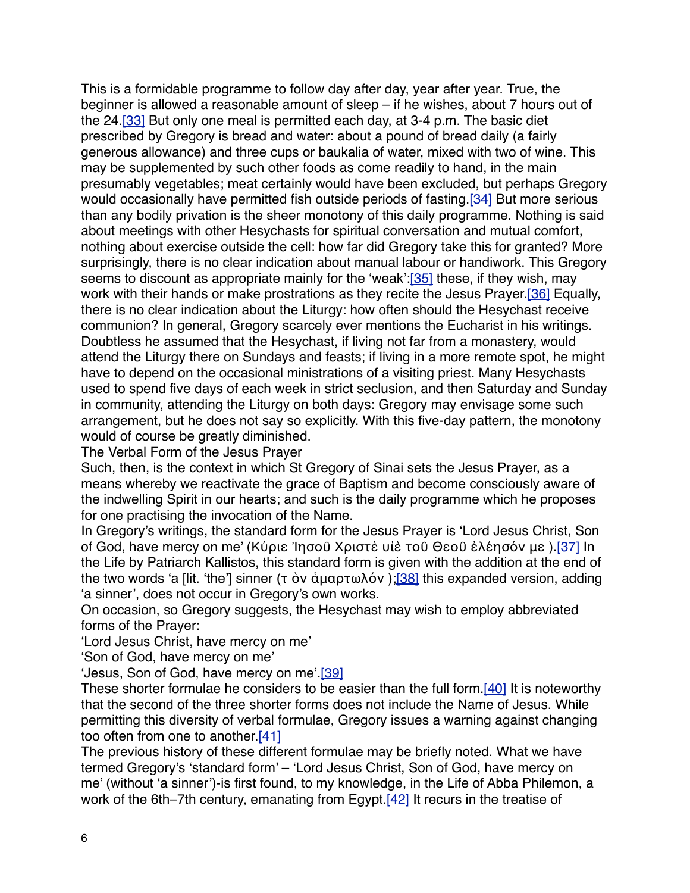This is a formidable programme to follow day after day, year after year. True, the beginner is allowed a reasonable amount of sleep – if he wishes, about 7 hours out of the 24.[\[33\]](http://www.bogoslov.ru/text/2588738.html#_ftn34) But only one meal is permitted each day, at 3-4 p.m. The basic diet prescribed by Gregory is bread and water: about a pound of bread daily (a fairly generous allowance) and three cups or baukalia of water, mixed with two of wine. This may be supplemented by such other foods as come readily to hand, in the main presumably vegetables; meat certainly would have been excluded, but perhaps Gregory would occasionally have permitted fish outside periods of fasting.[\[34\]](http://www.bogoslov.ru/text/2588738.html#_ftn35) But more serious than any bodily privation is the sheer monotony of this daily programme. Nothing is said about meetings with other Hesychasts for spiritual conversation and mutual comfort, nothing about exercise outside the cell: how far did Gregory take this for granted? More surprisingly, there is no clear indication about manual labour or handiwork. This Gregory seems to discount as appropriate mainly for the 'weak'[:\[35\]](http://www.bogoslov.ru/text/2588738.html#_ftn36) these, if they wish, may work with their hands or make prostrations as they recite the Jesus Prayer.<sup>[36]</sup> Equally, there is no clear indication about the Liturgy: how often should the Hesychast receive communion? In general, Gregory scarcely ever mentions the Eucharist in his writings. Doubtless he assumed that the Hesychast, if living not far from a monastery, would attend the Liturgy there on Sundays and feasts; if living in a more remote spot, he might have to depend on the occasional ministrations of a visiting priest. Many Hesychasts used to spend five days of each week in strict seclusion, and then Saturday and Sunday in community, attending the Liturgy on both days: Gregory may envisage some such arrangement, but he does not say so explicitly. With this five-day pattern, the monotony would of course be greatly diminished.

The Verbal Form of the Jesus Prayer

Such, then, is the context in which St Gregory of Sinai sets the Jesus Prayer, as a means whereby we reactivate the grace of Baptism and become consciously aware of the indwelling Spirit in our hearts; and such is the daily programme which he proposes for one practising the invocation of the Name.

In Gregory's writings, the standard form for the Jesus Prayer is 'Lord Jesus Christ, Son of God, have mercy on me' (Κύριε Ἰησοῦ Χριστὲ υἱὲ τοῦ Θεοῦ ἐλέησόν με )[.\[37\]](http://www.bogoslov.ru/text/2588738.html#_ftn38) In the Life by Patriarch Kallistos, this standard form is given with the addition at the end of the two words 'a [lit. 'the'] sinner (τ ὸν ἀμαρτωλόν); [\[38\]](http://www.bogoslov.ru/text/2588738.html#_ftn39) this expanded version, adding 'a sinner', does not occur in Gregory's own works.

On occasion, so Gregory suggests, the Hesychast may wish to employ abbreviated forms of the Prayer:

'Lord Jesus Christ, have mercy on me'

'Son of God, have mercy on me'

'Jesus, Son of God, have mercy on me' [\[39\]](http://www.bogoslov.ru/text/2588738.html#_ftn40)

These shorter formulae he considers to be easier than the full form.[\[40\]](http://www.bogoslov.ru/text/2588738.html#_ftn41) It is noteworthy that the second of the three shorter forms does not include the Name of Jesus. While permitting this diversity of verbal formulae, Gregory issues a warning against changing too often from one to another[.\[41\]](http://www.bogoslov.ru/text/2588738.html#_ftn42)

The previous history of these different formulae may be briefly noted. What we have termed Gregory's 'standard form' – 'Lord Jesus Christ, Son of God, have mercy on me' (without 'a sinner')-is first found, to my knowledge, in the Life of Abba Philemon, a work of the 6th–7th century, emanating from Egypt. [42] It recurs in the treatise of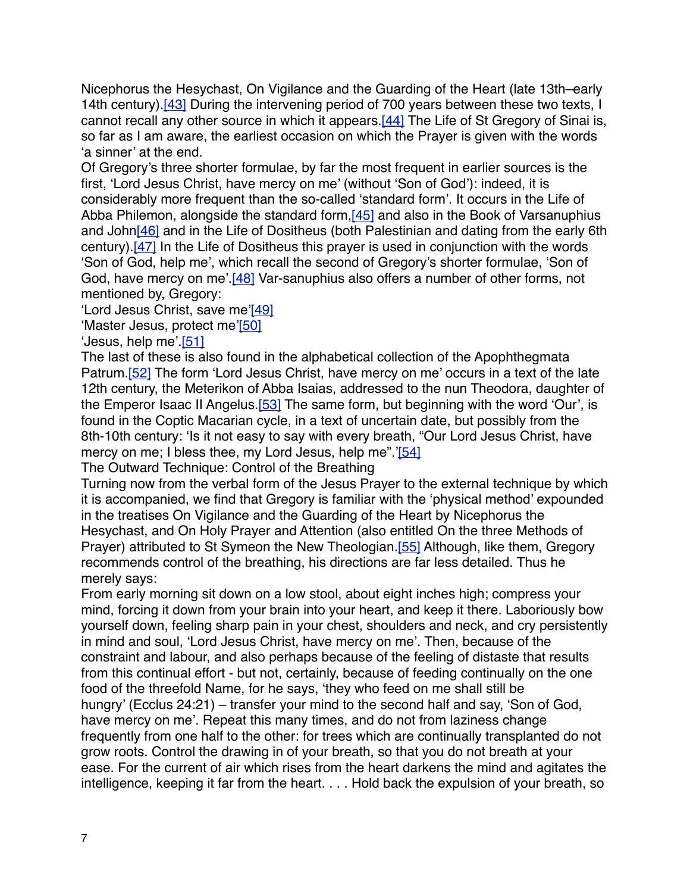Nicephorus the Hesychast, On Vigilance and the Guarding of the Heart (late 13th–early 14th century).<sup>[43]</sup> During the intervening period of 700 years between these two texts, I cannot recall any other source in which it appears.[\[44\]](http://www.bogoslov.ru/text/2588738.html#_ftn45) The Life of St Gregory of Sinai is, so far as I am aware, the earliest occasion on which the Prayer is given with the words 'a sinner' at the end.

Of Gregory's three shorter formulae, by far the most frequent in earlier sources is the first, 'Lord Jesus Christ, have mercy on me' (without 'Son of God'): indeed, it is considerably more frequent than the so-called 'standard form'. It occurs in the Life of Abba Philemon, alongside the standard form[,\[45\]](http://www.bogoslov.ru/text/2588738.html#_ftn46) and also in the Book of Varsanuphius and Joh[n\[46\]](http://www.bogoslov.ru/text/2588738.html#_ftn47) and in the Life of Dositheus (both Palestinian and dating from the early 6th century).[\[47\]](http://www.bogoslov.ru/text/2588738.html#_ftn48) In the Life of Dositheus this prayer is used in conjunction with the words 'Son of God, help me', which recall the second of Gregory's shorter formulae, 'Son of God, have mercy on me'[.\[48\]](http://www.bogoslov.ru/text/2588738.html#_ftn49) Var-sanuphius also offers a number of other forms, not mentioned by, Gregory:

'Lord Jesus Christ, save me'[\[49\]](http://www.bogoslov.ru/text/2588738.html#_ftn50)

'Master Jesus, protect me['\[50\]](http://www.bogoslov.ru/text/2588738.html#_ftn51)

'Jesus, help me'[.\[51\]](http://www.bogoslov.ru/text/2588738.html#_ftn52)

The last of these is also found in the alphabetical collection of the Apophthegmata Patrum.<sup>[52]</sup> The form 'Lord Jesus Christ, have mercy on me' occurs in a text of the late 12th century, the Meterikon of Abba Isaias, addressed to the nun Theodora, daughter of the Emperor Isaac II Angelus.<sup>[53]</sup> The same form, but beginning with the word 'Our', is found in the Coptic Macarian cycle, in a text of uncertain date, but possibly from the 8th-10th century: 'Is it not easy to say with every breath, "Our Lord Jesus Christ, have mercy on me; I bless thee, my Lord Jesus, help me".['\[54\]](http://www.bogoslov.ru/text/2588738.html#_ftn55)

The Outward Technique: Control of the Breathing

Turning now from the verbal form of the Jesus Prayer to the external technique by which it is accompanied, we find that Gregory is familiar with the 'physical method' expounded in the treatises On Vigilance and the Guarding of the Heart by Nicephorus the Hesychast, and On Holy Prayer and Attention (also entitled On the three Methods of Prayer) attributed to St Symeon the New Theologian[.\[55\]](http://www.bogoslov.ru/text/2588738.html#_ftn56) Although, like them, Gregory recommends control of the breathing, his directions are far less detailed. Thus he merely says:

From early morning sit down on a low stool, about eight inches high; compress your mind, forcing it down from your brain into your heart, and keep it there. Laboriously bow yourself down, feeling sharp pain in your chest, shoulders and neck, and cry persistently in mind and soul, 'Lord Jesus Christ, have mercy on me'. Then, because of the constraint and labour, and also perhaps because of the feeling of distaste that results from this continual effort - but not, certainly, because of feeding continually on the one food of the threefold Name, for he says, 'they who feed on me shall still be hungry' (Ecclus 24:21) – transfer your mind to the second half and say, 'Son of God, have mercy on me'. Repeat this many times, and do not from laziness change frequently from one half to the other: for trees which are continually transplanted do not grow roots. Control the drawing in of your breath, so that you do not breath at your ease. For the current of air which rises from the heart darkens the mind and agitates the intelligence, keeping it far from the heart. . . . Hold back the expulsion of your breath, so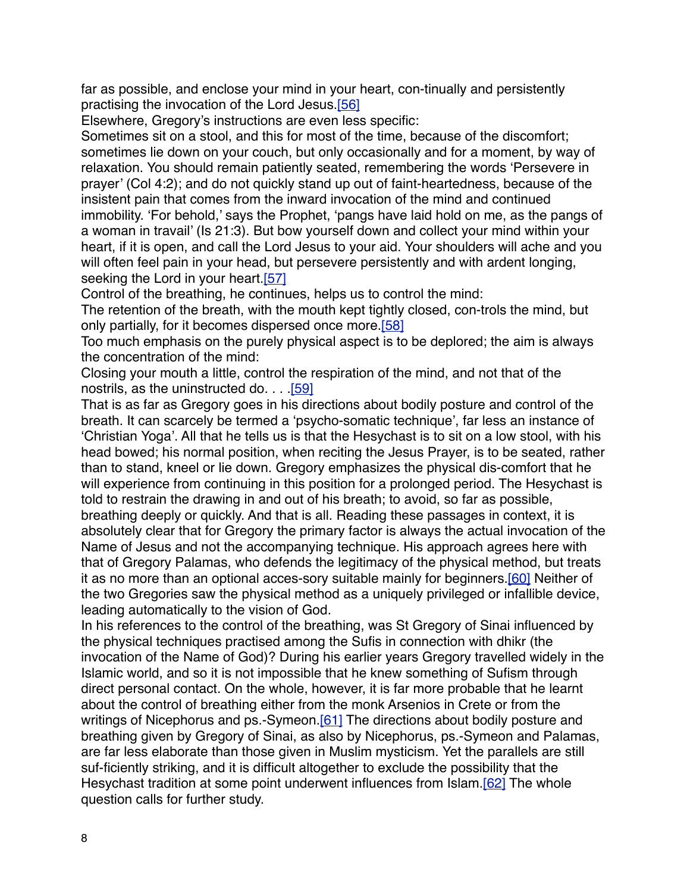far as possible, and enclose your mind in your heart, con-tinually and persistently practising the invocation of the Lord Jesus[.\[56\]](http://www.bogoslov.ru/text/2588738.html#_ftn57)

Elsewhere, Gregory's instructions are even less specific:

Sometimes sit on a stool, and this for most of the time, because of the discomfort; sometimes lie down on your couch, but only occasionally and for a moment, by way of relaxation. You should remain patiently seated, remembering the words 'Persevere in prayer' (Col 4:2); and do not quickly stand up out of faint-heartedness, because of the insistent pain that comes from the inward invocation of the mind and continued immobility. 'For behold,' says the Prophet, 'pangs have laid hold on me, as the pangs of a woman in travail' (Is 21:3). But bow yourself down and collect your mind within your heart, if it is open, and call the Lord Jesus to your aid. Your shoulders will ache and you will often feel pain in your head, but persevere persistently and with ardent longing, seeking the Lord in your heart.<sup>[57]</sup>

Control of the breathing, he continues, helps us to control the mind:

The retention of the breath, with the mouth kept tightly closed, con-trols the mind, but only partially, for it becomes dispersed once more.[\[58\]](http://www.bogoslov.ru/text/2588738.html#_ftn59)

Too much emphasis on the purely physical aspect is to be deplored; the aim is always the concentration of the mind:

Closing your mouth a little, control the respiration of the mind, and not that of the nostrils, as the uninstructed do. . . [.\[59\]](http://www.bogoslov.ru/text/2588738.html#_ftn60)

That is as far as Gregory goes in his directions about bodily posture and control of the breath. It can scarcely be termed a 'psycho-somatic technique', far less an instance of 'Christian Yoga'. All that he tells us is that the Hesychast is to sit on a low stool, with his head bowed; his normal position, when reciting the Jesus Prayer, is to be seated, rather than to stand, kneel or lie down. Gregory emphasizes the physical dis-comfort that he will experience from continuing in this position for a prolonged period. The Hesychast is told to restrain the drawing in and out of his breath; to avoid, so far as possible, breathing deeply or quickly. And that is all. Reading these passages in context, it is absolutely clear that for Gregory the primary factor is always the actual invocation of the Name of Jesus and not the accompanying technique. His approach agrees here with that of Gregory Palamas, who defends the legitimacy of the physical method, but treats it as no more than an optional acces-sory suitable mainly for beginners.[\[60\]](http://www.bogoslov.ru/text/2588738.html#_ftn61) Neither of the two Gregories saw the physical method as a uniquely privileged or infallible device, leading automatically to the vision of God.

In his references to the control of the breathing, was St Gregory of Sinai influenced by the physical techniques practised among the Sufis in connection with dhikr (the invocation of the Name of God)? During his earlier years Gregory travelled widely in the Islamic world, and so it is not impossible that he knew something of Sufism through direct personal contact. On the whole, however, it is far more probable that he learnt about the control of breathing either from the monk Arsenios in Crete or from the writings of Nicephorus and ps.-Symeon[.\[61\]](http://www.bogoslov.ru/text/2588738.html#_ftn62) The directions about bodily posture and breathing given by Gregory of Sinai, as also by Nicephorus, ps.-Symeon and Palamas, are far less elaborate than those given in Muslim mysticism. Yet the parallels are still suf-ficiently striking, and it is difficult altogether to exclude the possibility that the Hesychast tradition at some point underwent influences from Islam.[\[62\]](http://www.bogoslov.ru/text/2588738.html#_ftn63) The whole question calls for further study.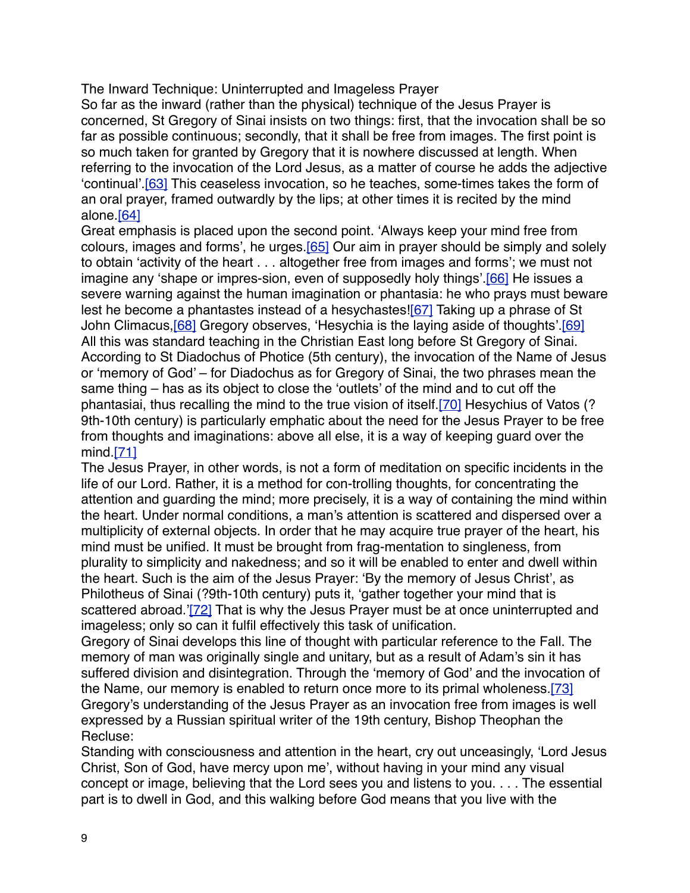## The Inward Technique: Uninterrupted and Imageless Prayer

So far as the inward (rather than the physical) technique of the Jesus Prayer is concerned, St Gregory of Sinai insists on two things: first, that the invocation shall be so far as possible continuous; secondly, that it shall be free from images. The first point is so much taken for granted by Gregory that it is nowhere discussed at length. When referring to the invocation of the Lord Jesus, as a matter of course he adds the adjective 'continual'.<sup>[63]</sup> This ceaseless invocation, so he teaches, some-times takes the form of an oral prayer, framed outwardly by the lips; at other times it is recited by the mind alone.[\[64\]](http://www.bogoslov.ru/text/2588738.html#_ftn65)

Great emphasis is placed upon the second point. 'Always keep your mind free from colours, images and forms', he urges[.\[65\]](http://www.bogoslov.ru/text/2588738.html#_ftn66) Our aim in prayer should be simply and solely to obtain 'activity of the heart . . . altogether free from images and forms'; we must not imagine any 'shape or impres-sion, even of supposedly holy things'.<sup>[66]</sup> He issues a severe warning against the human imagination or phantasia: he who prays must beware lest he become a phantastes instead of a hesychastes[!\[67\]](http://www.bogoslov.ru/text/2588738.html#_ftn68) Taking up a phrase of St John Climacus, [68] Gregory observes, 'Hesychia is the laying aside of thoughts' [\[69\]](http://www.bogoslov.ru/text/2588738.html#_ftn70) All this was standard teaching in the Christian East long before St Gregory of Sinai. According to St Diadochus of Photice (5th century), the invocation of the Name of Jesus or 'memory of God' – for Diadochus as for Gregory of Sinai, the two phrases mean the same thing – has as its object to close the 'outlets' of the mind and to cut off the phantasiai, thus recalling the mind to the true vision of itself.[\[70\]](http://www.bogoslov.ru/text/2588738.html#_ftn71) Hesychius of Vatos (? 9th-10th century) is particularly emphatic about the need for the Jesus Prayer to be free from thoughts and imaginations: above all else, it is a way of keeping guard over the mind[.\[71\]](http://www.bogoslov.ru/text/2588738.html#_ftn72)

The Jesus Prayer, in other words, is not a form of meditation on specific incidents in the life of our Lord. Rather, it is a method for con-trolling thoughts, for concentrating the attention and guarding the mind; more precisely, it is a way of containing the mind within the heart. Under normal conditions, a man's attention is scattered and dispersed over a multiplicity of external objects. In order that he may acquire true prayer of the heart, his mind must be unified. It must be brought from frag-mentation to singleness, from plurality to simplicity and nakedness; and so it will be enabled to enter and dwell within the heart. Such is the aim of the Jesus Prayer: 'By the memory of Jesus Christ', as Philotheus of Sinai (?9th-10th century) puts it, 'gather together your mind that is scattered abroad.['\[72\]](http://www.bogoslov.ru/text/2588738.html#_ftn73) That is why the Jesus Prayer must be at once uninterrupted and imageless; only so can it fulfil effectively this task of unification.

Gregory of Sinai develops this line of thought with particular reference to the Fall. The memory of man was originally single and unitary, but as a result of Adam's sin it has suffered division and disintegration. Through the 'memory of God' and the invocation of the Name, our memory is enabled to return once more to its primal wholeness.[\[73\]](http://www.bogoslov.ru/text/2588738.html#_ftn74) Gregory's understanding of the Jesus Prayer as an invocation free from images is well expressed by a Russian spiritual writer of the 19th century, Bishop Theophan the Recluse:

Standing with consciousness and attention in the heart, cry out unceasingly, 'Lord Jesus Christ, Son of God, have mercy upon me', without having in your mind any visual concept or image, believing that the Lord sees you and listens to you. . . . The essential part is to dwell in God, and this walking before God means that you live with the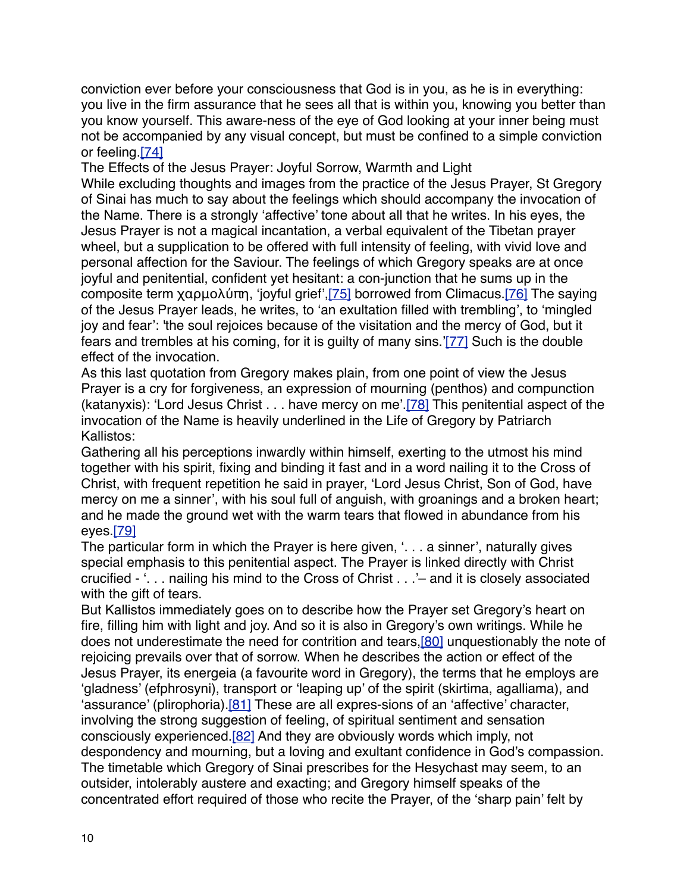conviction ever before your consciousness that God is in you, as he is in everything: you live in the firm assurance that he sees all that is within you, knowing you better than you know yourself. This aware-ness of the eye of God looking at your inner being must not be accompanied by any visual concept, but must be confined to a simple conviction or feeling.[\[74\]](http://www.bogoslov.ru/text/2588738.html#_ftn75)

The Effects of the Jesus Prayer: Joyful Sorrow, Warmth and Light

While excluding thoughts and images from the practice of the Jesus Prayer, St Gregory of Sinai has much to say about the feelings which should accompany the invocation of the Name. There is a strongly 'affective' tone about all that he writes. In his eyes, the Jesus Prayer is not a magical incantation, a verbal equivalent of the Tibetan prayer wheel, but a supplication to be offered with full intensity of feeling, with vivid love and personal affection for the Saviour. The feelings of which Gregory speaks are at once joyful and penitential, confident yet hesitant: a con-junction that he sums up in the composite term χαρμολύπη, 'joyful grief',[\[75\]](http://www.bogoslov.ru/text/2588738.html#_ftn76) borrowed from Climacus[.\[76\]](http://www.bogoslov.ru/text/2588738.html#_ftn77) The saying of the Jesus Prayer leads, he writes, to 'an exultation filled with trembling', to 'mingled joy and fear': 'the soul rejoices because of the visitation and the mercy of God, but it fears and trembles at his coming, for it is guilty of many sins.['\[77\]](http://www.bogoslov.ru/text/2588738.html#_ftn78) Such is the double effect of the invocation.

As this last quotation from Gregory makes plain, from one point of view the Jesus Prayer is a cry for forgiveness, an expression of mourning (penthos) and compunction (katanyxis): 'Lord Jesus Christ . . . have mercy on me'.[\[78\]](http://www.bogoslov.ru/text/2588738.html#_ftn79) This penitential aspect of the invocation of the Name is heavily underlined in the Life of Gregory by Patriarch Kallistos:

Gathering all his perceptions inwardly within himself, exerting to the utmost his mind together with his spirit, fixing and binding it fast and in a word nailing it to the Cross of Christ, with frequent repetition he said in prayer, 'Lord Jesus Christ, Son of God, have mercy on me a sinner', with his soul full of anguish, with groanings and a broken heart; and he made the ground wet with the warm tears that flowed in abundance from his eyes.[\[79\]](http://www.bogoslov.ru/text/2588738.html#_ftn80)

The particular form in which the Prayer is here given, '. . . a sinner', naturally gives special emphasis to this penitential aspect. The Prayer is linked directly with Christ crucified - '. . . nailing his mind to the Cross of Christ . . .'– and it is closely associated with the gift of tears.

But Kallistos immediately goes on to describe how the Prayer set Gregory's heart on fire, filling him with light and joy. And so it is also in Gregory's own writings. While he does not underestimate the need for contrition and tears,[\[80\]](http://www.bogoslov.ru/text/2588738.html#_ftn81) unquestionably the note of rejoicing prevails over that of sorrow. When he describes the action or effect of the Jesus Prayer, its energeia (a favourite word in Gregory), the terms that he employs are 'gladness' (efphrosyni), transport or 'leaping up' of the spirit (skirtima, agalliama), and 'assurance' (plirophoria).  $[81]$  These are all expres-sions of an 'affective' character, involving the strong suggestion of feeling, of spiritual sentiment and sensation consciously experienced[.\[82\]](http://www.bogoslov.ru/text/2588738.html#_ftn83) And they are obviously words which imply, not despondency and mourning, but a loving and exultant confidence in God's compassion. The timetable which Gregory of Sinai prescribes for the Hesychast may seem, to an outsider, intolerably austere and exacting; and Gregory himself speaks of the concentrated effort required of those who recite the Prayer, of the 'sharp pain' felt by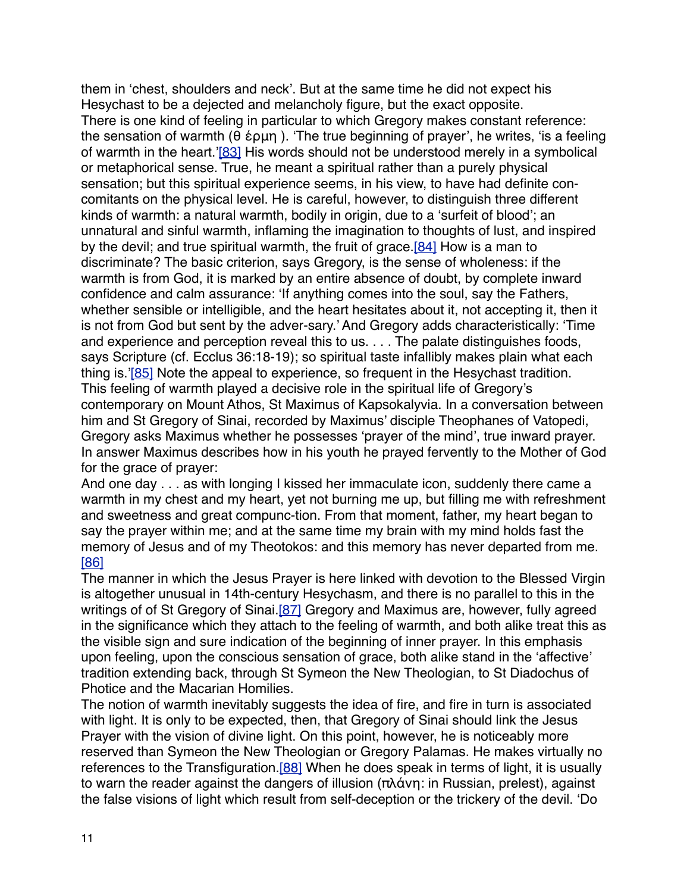them in 'chest, shoulders and neck'. But at the same time he did not expect his Hesychast to be a dejected and melancholy figure, but the exact opposite. There is one kind of feeling in particular to which Gregory makes constant reference: the sensation of warmth (θ έρμη ). 'The true beginning of prayer', he writes, 'is a feeling of warmth in the heart.['\[83\]](http://www.bogoslov.ru/text/2588738.html#_ftn84) His words should not be understood merely in a symbolical or metaphorical sense. True, he meant a spiritual rather than a purely physical sensation; but this spiritual experience seems, in his view, to have had definite concomitants on the physical level. He is careful, however, to distinguish three different kinds of warmth: a natural warmth, bodily in origin, due to a 'surfeit of blood'; an unnatural and sinful warmth, inflaming the imagination to thoughts of lust, and inspired by the devil; and true spiritual warmth, the fruit of grace.<sup>[84]</sup> How is a man to discriminate? The basic criterion, says Gregory, is the sense of wholeness: if the warmth is from God, it is marked by an entire absence of doubt, by complete inward confidence and calm assurance: 'If anything comes into the soul, say the Fathers, whether sensible or intelligible, and the heart hesitates about it, not accepting it, then it is not from God but sent by the adver-sary.' And Gregory adds characteristically: 'Time and experience and perception reveal this to us. . . . The palate distinguishes foods, says Scripture (cf. Ecclus 36:18-19); so spiritual taste infallibly makes plain what each thing is.['\[85\]](http://www.bogoslov.ru/text/2588738.html#_ftn86) Note the appeal to experience, so frequent in the Hesychast tradition. This feeling of warmth played a decisive role in the spiritual life of Gregory's contemporary on Mount Athos, St Maximus of Kapsokalyvia. In a conversation between him and St Gregory of Sinai, recorded by Maximus' disciple Theophanes of Vatopedi, Gregory asks Maximus whether he possesses 'prayer of the mind', true inward prayer. In answer Maximus describes how in his youth he prayed fervently to the Mother of God for the grace of prayer:

And one day . . . as with longing I kissed her immaculate icon, suddenly there came a warmth in my chest and my heart, yet not burning me up, but filling me with refreshment and sweetness and great compunc-tion. From that moment, father, my heart began to say the prayer within me; and at the same time my brain with my mind holds fast the memory of Jesus and of my Theotokos: and this memory has never departed from me. [\[86\]](http://www.bogoslov.ru/text/2588738.html#_ftn87)

The manner in which the Jesus Prayer is here linked with devotion to the Blessed Virgin is altogether unusual in 14th-century Hesychasm, and there is no parallel to this in the writings of of St Gregory of Sinai[.\[87\]](http://www.bogoslov.ru/text/2588738.html#_ftn88) Gregory and Maximus are, however, fully agreed in the significance which they attach to the feeling of warmth, and both alike treat this as the visible sign and sure indication of the beginning of inner prayer. In this emphasis upon feeling, upon the conscious sensation of grace, both alike stand in the 'affective' tradition extending back, through St Symeon the New Theologian, to St Diadochus of Photice and the Macarian Homilies.

The notion of warmth inevitably suggests the idea of fire, and fire in turn is associated with light. It is only to be expected, then, that Gregory of Sinai should link the Jesus Prayer with the vision of divine light. On this point, however, he is noticeably more reserved than Symeon the New Theologian or Gregory Palamas. He makes virtually no references to the Transfiguration.<sup>[88]</sup> When he does speak in terms of light, it is usually to warn the reader against the dangers of illusion (πλάνη: in Russian, prelest), against the false visions of light which result from self-deception or the trickery of the devil. 'Do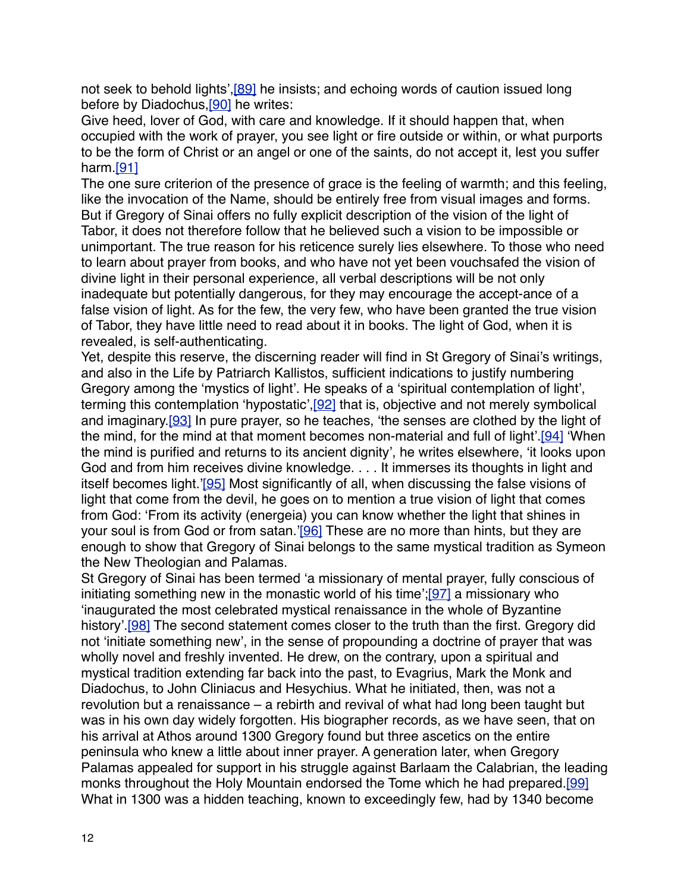not seek to behold lights', [89] he insists; and echoing words of caution issued long before by Diadochus, [90] he writes:

Give heed, lover of God, with care and knowledge. If it should happen that, when occupied with the work of prayer, you see light or fire outside or within, or what purports to be the form of Christ or an angel or one of the saints, do not accept it, lest you suffer harm.[\[91\]](http://www.bogoslov.ru/text/2588738.html#_ftn92)

The one sure criterion of the presence of grace is the feeling of warmth; and this feeling, like the invocation of the Name, should be entirely free from visual images and forms. But if Gregory of Sinai offers no fully explicit description of the vision of the light of Tabor, it does not therefore follow that he believed such a vision to be impossible or unimportant. The true reason for his reticence surely lies elsewhere. To those who need to learn about prayer from books, and who have not yet been vouchsafed the vision of divine light in their personal experience, all verbal descriptions will be not only inadequate but potentially dangerous, for they may encourage the accept-ance of a false vision of light. As for the few, the very few, who have been granted the true vision of Tabor, they have little need to read about it in books. The light of God, when it is revealed, is self-authenticating.

Yet, despite this reserve, the discerning reader will find in St Gregory of Sinai's writings, and also in the Life by Patriarch Kallistos, sufficient indications to justify numbering Gregory among the 'mystics of light'. He speaks of a 'spiritual contemplation of light', terming this contemplation 'hypostatic'[,\[92\]](http://www.bogoslov.ru/text/2588738.html#_ftn93) that is, objective and not merely symbolical and imaginary.[\[93\]](http://www.bogoslov.ru/text/2588738.html#_ftn94) In pure prayer, so he teaches, 'the senses are clothed by the light of the mind, for the mind at that moment becomes non-material and full of light'[.\[94\]](http://www.bogoslov.ru/text/2588738.html#_ftn95) 'When the mind is purified and returns to its ancient dignity', he writes elsewhere, 'it looks upon God and from him receives divine knowledge. . . . It immerses its thoughts in light and itself becomes light.['\[95\]](http://www.bogoslov.ru/text/2588738.html#_ftn96) Most significantly of all, when discussing the false visions of light that come from the devil, he goes on to mention a true vision of light that comes from God: 'From its activity (energeia) you can know whether the light that shines in your soul is from God or from satan.['\[96\]](http://www.bogoslov.ru/text/2588738.html#_ftn97) These are no more than hints, but they are enough to show that Gregory of Sinai belongs to the same mystical tradition as Symeon the New Theologian and Palamas.

St Gregory of Sinai has been termed 'a missionary of mental prayer, fully conscious of initiating something new in the monastic world of his time'[;\[97\]](http://www.bogoslov.ru/text/2588738.html#_ftn98) a missionary who 'inaugurated the most celebrated mystical renaissance in the whole of Byzantine history'.<sup>[98]</sup> The second statement comes closer to the truth than the first. Gregory did not 'initiate something new', in the sense of propounding a doctrine of prayer that was wholly novel and freshly invented. He drew, on the contrary, upon a spiritual and mystical tradition extending far back into the past, to Evagrius, Mark the Monk and Diadochus, to John Cliniacus and Hesychius. What he initiated, then, was not a revolution but a renaissance – a rebirth and revival of what had long been taught but was in his own day widely forgotten. His biographer records, as we have seen, that on his arrival at Athos around 1300 Gregory found but three ascetics on the entire peninsula who knew a little about inner prayer. A generation later, when Gregory Palamas appealed for support in his struggle against Barlaam the Calabrian, the leading monks throughout the Holy Mountain endorsed the Tome which he had prepared.[\[99\]](http://www.bogoslov.ru/text/2588738.html#_ftn100) What in 1300 was a hidden teaching, known to exceedingly few, had by 1340 become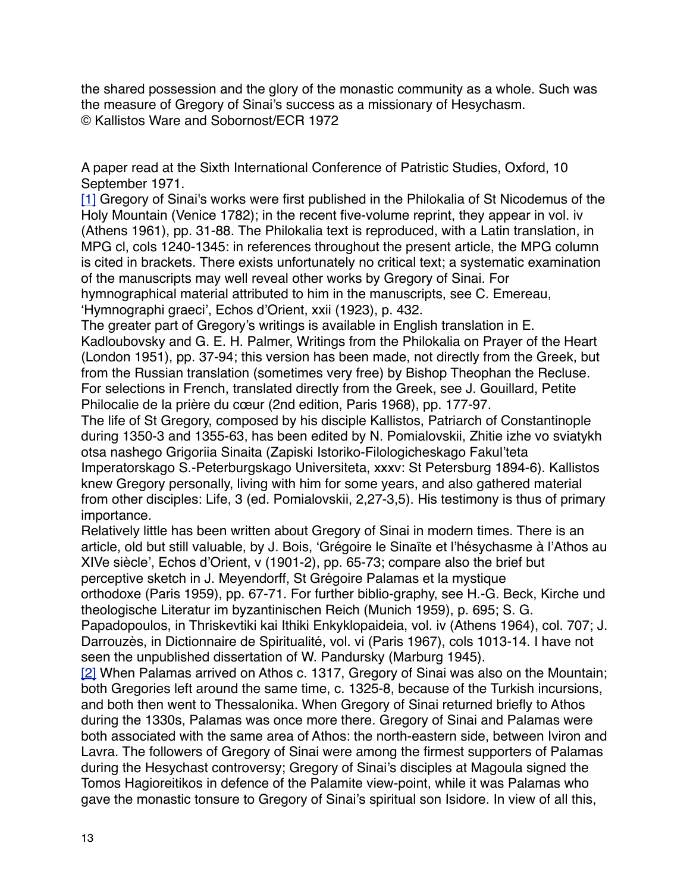the shared possession and the glory of the monastic community as a whole. Such was the measure of Gregory of Sinai's success as a missionary of Hesychasm. © Kallistos Ware and Sobornost/ECR 1972

A paper read at the Sixth International Conference of Patristic Studies, Oxford, 10 September 1971.

[\[1\]](http://www.bogoslov.ru/text/2588738.html#_ftnref2) Gregory of Sinai's works were first published in the Philokalia of St Nicodemus of the Holy Mountain (Venice 1782); in the recent five-volume reprint, they appear in vol. iv (Athens 1961), pp. 31-88. The Philokalia text is reproduced, with a Latin translation, in MPG cl, cols 1240-1345: in references throughout the present article, the MPG column is cited in brackets. There exists unfortunately no critical text; a systematic examination of the manuscripts may well reveal other works by Gregory of Sinai. For hymnographical material attributed to him in the manuscripts, see C. Emereau, 'Hymnographi graeci', Echos d'Orient, xxii (1923), p. 432.

The greater part of Gregory's writings is available in English translation in E. Kadloubovsky and G. E. H. Palmer, Writings from the Philokalia on Prayer of the Heart (London 1951), pp. 37-94; this version has been made, not directly from the Greek, but from the Russian translation (sometimes very free) by Bishop Theophan the Recluse. For selections in French, translated directly from the Greek, see J. Gouillard, Petite

Philocalie de la prière du cœur (2nd edition, Paris 1968), pp. 177-97.

The life of St Gregory, composed by his disciple Kallistos, Patriarch of Constantinople during 1350-3 and 1355-63, has been edited by N. Pomialovskii, Zhitie izhe vo sviatykh otsa nashego Grigoriia Sinaita (Zapiski Istoriko-Filologicheskago Fakul'teta Imperatorskago S.-Peterburgskago Universiteta, xxxv: St Petersburg 1894-6). Kallistos knew Gregory personally, living with him for some years, and also gathered material from other disciples: Life, 3 (ed. Pomialovskii, 2,27-3,5). His testimony is thus of primary importance.

Relatively little has been written about Gregory of Sinai in modern times. There is an article, old but still valuable, by J. Bois, 'Grégoire le Sinaïte et l'hésychasme à l'Athos au XIVe siècle', Echos d'Orient, v (1901-2), pp. 65-73; compare also the brief but perceptive sketch in J. Meyendorff, St Grégoire Palamas et la mystique

orthodoxe (Paris 1959), pp. 67-71. For further biblio-graphy, see H.-G. Beck, Kirche und theologische Literatur im byzantinischen Reich (Munich 1959), p. 695; S. G.

Papadopoulos, in Thriskevtiki kai Ithiki Enkyklopaideia, vol. iv (Athens 1964), col. 707; J. Darrouzès, in Dictionnaire de Spiritualité, vol. vi (Paris 1967), cols 1013-14. I have not seen the unpublished dissertation of W. Pandursky (Marburg 1945).

[\[2\]](http://www.bogoslov.ru/text/2588738.html#_ftnref3) When Palamas arrived on Athos c. 1317, Gregory of Sinai was also on the Mountain; both Gregories left around the same time, c. 1325-8, because of the Turkish incursions, and both then went to Thessalonika. When Gregory of Sinai returned briefly to Athos during the 1330s, Palamas was once more there. Gregory of Sinai and Palamas were both associated with the same area of Athos: the north-eastern side, between Iviron and Lavra. The followers of Gregory of Sinai were among the firmest supporters of Palamas during the Hesychast controversy; Gregory of Sinai's disciples at Magoula signed the Tomos Hagioreitikos in defence of the Palamite view-point, while it was Palamas who gave the monastic tonsure to Gregory of Sinai's spiritual son Isidore. In view of all this,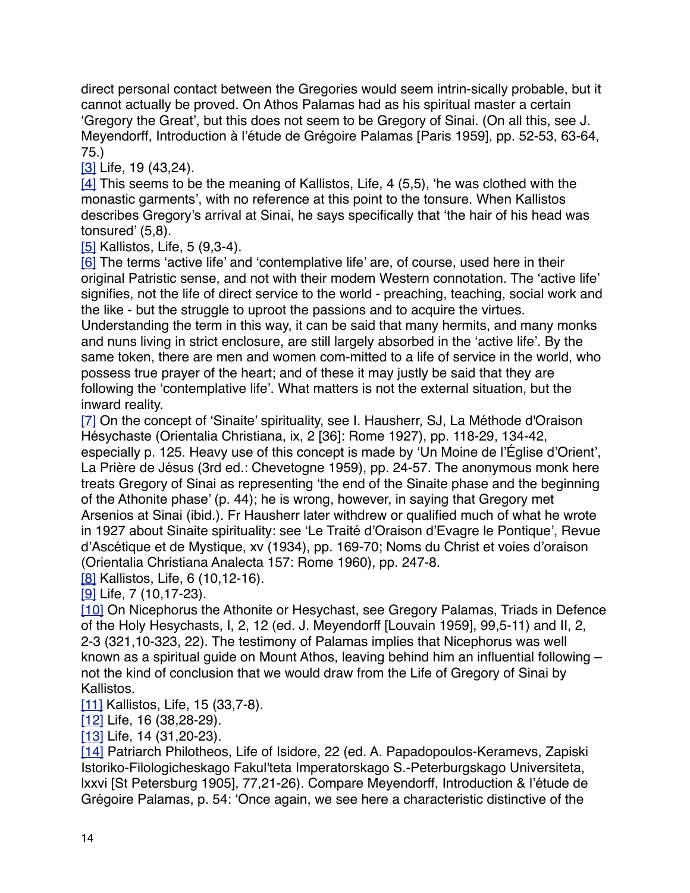direct personal contact between the Gregories would seem intrinsically probable, but it cannot actually be proved. On Athos Palamas had as his spiritual master a certain 'Gregory the Great', but this does not seem to be Gregory of Sinai. (On all this, see J. Meyendorff, Introduction à l'étude de Grégoire Palamas [Paris 1959], pp. 52-53, 63-64, 75.)

[\[3\]](http://www.bogoslov.ru/text/2588738.html#_ftnref4) Life, 19 (43,24).

[\[4\]](http://www.bogoslov.ru/text/2588738.html#_ftnref5) This seems to be the meaning of Kallistos, Life, 4 (5,5), 'he was clothed with the monastic garments', with no reference at this point to the tonsure. When Kallistos describes Gregory's arrival at Sinai, he says specifically that 'the hair of his head was tonsured' (5,8).

[\[5\]](http://www.bogoslov.ru/text/2588738.html#_ftnref6) Kallistos, Life, 5 (9,3-4).

[\[6\]](http://www.bogoslov.ru/text/2588738.html#_ftnref7) The terms 'active life' and 'contemplative life' are, of course, used here in their original Patristic sense, and not with their modem Western connotation. The 'active life' signifies, not the life of direct service to the world - preaching, teaching, social work and the like - but the struggle to uproot the passions and to acquire the virtues.

Understanding the term in this way, it can be said that many hermits, and many monks and nuns living in strict enclosure, are still largely absorbed in the 'active life'. By the same token, there are men and women com-mitted to a life of service in the world, who possess true prayer of the heart; and of these it may justly be said that they are following the 'contemplative life'. What matters is not the external situation, but the inward reality.

[\[7\]](http://www.bogoslov.ru/text/2588738.html#_ftnref8) On the concept of 'Sinaite' spirituality, see I. Hausherr, SJ, La Méthode d'Oraison Hésychaste (Orientalia Christiana, ix, 2 [36]: Rome 1927), pp. 118-29, 134-42, especially p. 125. Heavy use of this concept is made by 'Un Moine de l'Église d'Orient', La Prière de Jésus (3rd ed.: Chevetogne 1959), pp. 24-57. The anonymous monk here treats Gregory of Sinai as representing 'the end of the Sinaite phase and the beginning of the Athonite phase' (p. 44); he is wrong, however, in saying that Gregory met Arsenios at Sinai (ibid.). Fr Hausherr later withdrew or qualified much of what he wrote in 1927 about Sinaite spirituality: see 'Le Traité d'Oraison d'Evagre le Pontique', Revue d'Ascétique et de Mystique, xv (1934), pp. 169-70; Noms du Christ et voies d'oraison (Orientalia Christiana Analecta 157: Rome 1960), pp. 247-8.

[\[8\]](http://www.bogoslov.ru/text/2588738.html#_ftnref9) Kallistos, Life, 6 (10,12-16).

[\[9\]](http://www.bogoslov.ru/text/2588738.html#_ftnref10) Life, 7 (10,17-23).

[\[10\]](http://www.bogoslov.ru/text/2588738.html#_ftnref11) On Nicephorus the Athonite or Hesychast, see Gregory Palamas, Triads in Defence of the Holy Hesychasts, I, 2, 12 (ed. J. Meyendorff [Louvain 1959], 99,5-11) and II, 2, 2-3 (321,10-323, 22). The testimony of Palamas implies that Nicephorus was well known as a spiritual guide on Mount Athos, leaving behind him an influential following – not the kind of conclusion that we would draw from the Life of Gregory of Sinai by Kallistos.

[\[11\]](http://www.bogoslov.ru/text/2588738.html#_ftnref12) Kallistos, Life, 15 (33,7-8).

[\[12\]](http://www.bogoslov.ru/text/2588738.html#_ftnref13) Life, 16 (38,28-29).

[\[13\]](http://www.bogoslov.ru/text/2588738.html#_ftnref14) Life, 14 (31, 20-23).

[\[14\]](http://www.bogoslov.ru/text/2588738.html#_ftnref15) Patriarch Philotheos, Life of Isidore, 22 (ed. A. Papadopoulos-Keramevs, Zapiski Istoriko-Filologicheskago Fakul'teta Imperatorskago S.-Peterburgskago Universiteta, lxxvi [St Petersburg 1905], 77,21-26). Compare Meyendorff, Introduction & l'étude de Grégoire Palamas, p. 54: 'Once again, we see here a characteristic distinctive of the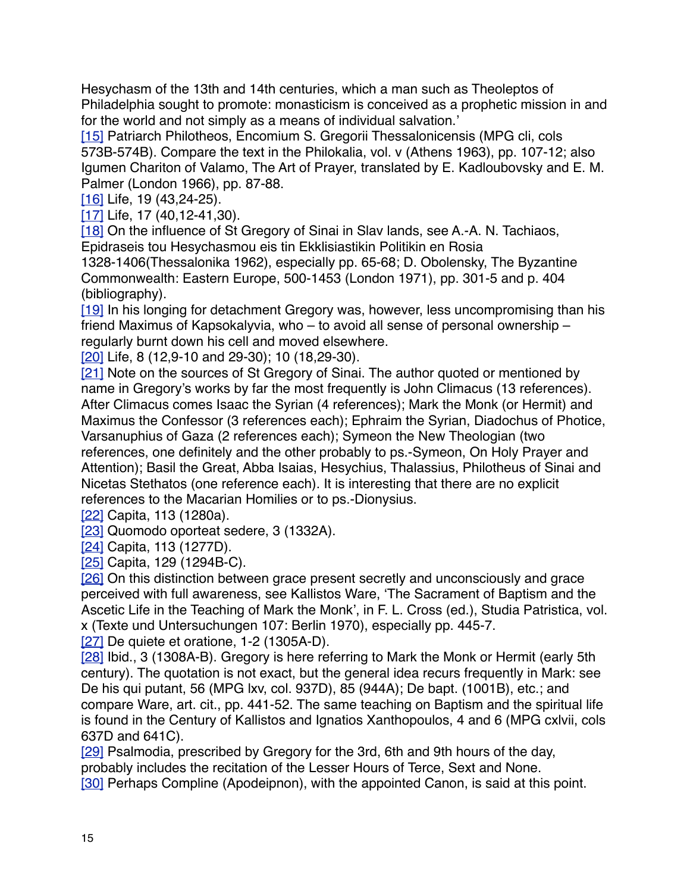Hesychasm of the 13th and 14th centuries, which a man such as Theoleptos of Philadelphia sought to promote: monasticism is conceived as a prophetic mission in and for the world and not simply as a means of individual salvation.'

[\[15\]](http://www.bogoslov.ru/text/2588738.html#_ftnref16) Patriarch Philotheos, Encomium S. Gregorii Thessalonicensis (MPG cli, cols 573B-574B). Compare the text in the Philokalia, vol. v (Athens 1963), pp. 107-12; also Igumen Chariton of Valamo, The Art of Prayer, translated by E. Kadloubovsky and E. M. Palmer (London 1966), pp. 87-88.

[\[16\]](http://www.bogoslov.ru/text/2588738.html#_ftnref17) Life, 19 (43,24-25).

[\[17\]](http://www.bogoslov.ru/text/2588738.html#_ftnref18) Life, 17 (40,12-41,30).

[\[18\]](http://www.bogoslov.ru/text/2588738.html#_ftnref19) On the influence of St Gregory of Sinai in Slav lands, see A.-A. N. Tachiaos, Epidraseis tou Hesychasmou eis tin Ekklisiastikin Politikin en Rosia

1328-1406(Thessalonika 1962), especially pp. 65-68; D. Obolensky, The Byzantine Commonwealth: Eastern Europe, 500-1453 (London 1971), pp. 301-5 and p. 404 (bibliography).

[\[19\]](http://www.bogoslov.ru/text/2588738.html#_ftnref20) In his longing for detachment Gregory was, however, less uncompromising than his friend Maximus of Kapsokalyvia, who – to avoid all sense of personal ownership – regularly burnt down his cell and moved elsewhere.

[\[20\]](http://www.bogoslov.ru/text/2588738.html#_ftnref21) Life, 8 (12,9-10 and 29-30); 10 (18,29-30).

[\[21\]](http://www.bogoslov.ru/text/2588738.html#_ftnref22) Note on the sources of St Gregory of Sinai. The author quoted or mentioned by name in Gregory's works by far the most frequently is John Climacus (13 references). After Climacus comes Isaac the Syrian (4 references); Mark the Monk (or Hermit) and Maximus the Confessor (3 references each); Ephraim the Syrian, Diadochus of Photice, Varsanuphius of Gaza (2 references each); Symeon the New Theologian (two references, one definitely and the other probably to ps.-Symeon, On Holy Prayer and Attention); Basil the Great, Abba Isaias, Hesychius, Thalassius, Philotheus of Sinai and Nicetas Stethatos (one reference each). It is interesting that there are no explicit references to the Macarian Homilies or to ps.-Dionysius.

[\[22\]](http://www.bogoslov.ru/text/2588738.html#_ftnref23) Capita, 113 (1280a).

[\[23\]](http://www.bogoslov.ru/text/2588738.html#_ftnref24) Quomodo oporteat sedere, 3 (1332A).

[\[24\]](http://www.bogoslov.ru/text/2588738.html#_ftnref25) Capita, 113 (1277D).

[\[25\]](http://www.bogoslov.ru/text/2588738.html#_ftnref26) Capita, 129 (1294B-C).

[\[26\]](http://www.bogoslov.ru/text/2588738.html#_ftnref27) On this distinction between grace present secretly and unconsciously and grace perceived with full awareness, see Kallistos Ware, 'The Sacrament of Baptism and the Ascetic Life in the Teaching of Mark the Monk', in F. L. Cross (ed.), Studia Patristica, vol. x (Texte und Untersuchungen 107: Berlin 1970), especially pp. 445-7.

[\[27\]](http://www.bogoslov.ru/text/2588738.html#_ftnref28) De quiete et oratione, 1-2 (1305A-D).

[\[28\]](http://www.bogoslov.ru/text/2588738.html#_ftnref29) Ibid., 3 (1308A-B). Gregory is here referring to Mark the Monk or Hermit (early 5th century). The quotation is not exact, but the general idea recurs frequently in Mark: see De his qui putant, 56 (MPG lxv, col. 937D), 85 (944A); De bapt. (1001B), etc.; and compare Ware, art. cit., pp. 441-52. The same teaching on Baptism and the spiritual life is found in the Century of Kallistos and Ignatios Xanthopoulos, 4 and 6 (MPG cxlvii, cols 637D and 641C).

[\[29\]](http://www.bogoslov.ru/text/2588738.html#_ftnref30) Psalmodia, prescribed by Gregory for the 3rd, 6th and 9th hours of the day, probably includes the recitation of the Lesser Hours of Terce, Sext and None. [\[30\]](http://www.bogoslov.ru/text/2588738.html#_ftnref31) Perhaps Compline (Apodeipnon), with the appointed Canon, is said at this point.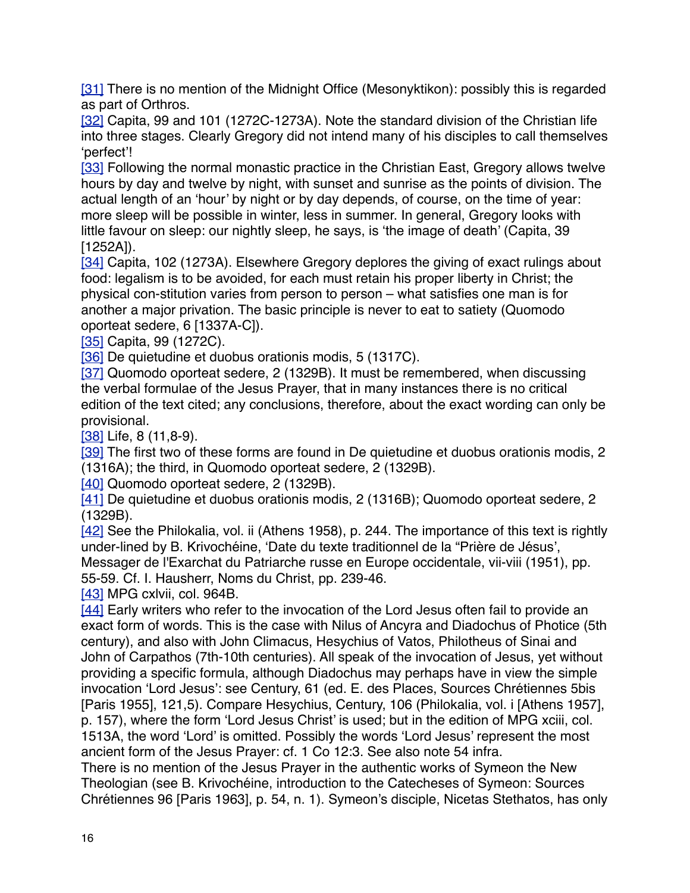[\[31\]](http://www.bogoslov.ru/text/2588738.html#_ftnref32) There is no mention of the Midnight Office (Mesonyktikon): possibly this is regarded as part of Orthros.

[\[32\]](http://www.bogoslov.ru/text/2588738.html#_ftnref33) Capita, 99 and 101 (1272C-1273A). Note the standard division of the Christian life into three stages. Clearly Gregory did not intend many of his disciples to call themselves 'perfect'!

[\[33\]](http://www.bogoslov.ru/text/2588738.html#_ftnref34) Following the normal monastic practice in the Christian East, Gregory allows twelve hours by day and twelve by night, with sunset and sunrise as the points of division. The actual length of an 'hour' by night or by day depends, of course, on the time of year: more sleep will be possible in winter, less in summer. In general, Gregory looks with little favour on sleep: our nightly sleep, he says, is 'the image of death' (Capita, 39 [1252A]).

[\[34\]](http://www.bogoslov.ru/text/2588738.html#_ftnref35) Capita, 102 (1273A). Elsewhere Gregory deplores the giving of exact rulings about food: legalism is to be avoided, for each must retain his proper liberty in Christ; the physical con-stitution varies from person to person – what satisfies one man is for another a major privation. The basic principle is never to eat to satiety (Quomodo oporteat sedere, 6 [1337A-C]).

[\[35\]](http://www.bogoslov.ru/text/2588738.html#_ftnref36) Capita, 99 (1272C).

[\[36\]](http://www.bogoslov.ru/text/2588738.html#_ftnref37) De quietudine et duobus orationis modis, 5 (1317C).

[\[37\]](http://www.bogoslov.ru/text/2588738.html#_ftnref38) Quomodo oporteat sedere, 2 (1329B). It must be remembered, when discussing the verbal formulae of the Jesus Prayer, that in many instances there is no critical edition of the text cited; any conclusions, therefore, about the exact wording can only be provisional.

[\[38\]](http://www.bogoslov.ru/text/2588738.html#_ftnref39) Life, 8 (11,8-9).

[\[39\]](http://www.bogoslov.ru/text/2588738.html#_ftnref40) The first two of these forms are found in De quietudine et duobus orationis modis, 2 (1316A); the third, in Quomodo oporteat sedere, 2 (1329B).

[\[40\]](http://www.bogoslov.ru/text/2588738.html#_ftnref41) Quomodo oporteat sedere, 2 (1329B).

[\[41\]](http://www.bogoslov.ru/text/2588738.html#_ftnref42) De quietudine et duobus orationis modis, 2 (1316B); Quomodo oporteat sedere, 2 (1329B).

[\[42\]](http://www.bogoslov.ru/text/2588738.html#_ftnref43) See the Philokalia, vol. ii (Athens 1958), p. 244. The importance of this text is rightly under-lined by B. Krivochéine, 'Date du texte traditionnel de la "Prière de Jésus'. Messager de l'Exarchat du Patriarche russe en Europe occidentale, vii-viii (1951), pp.

55-59. Cf. I. Hausherr, Noms du Christ, pp. 239-46.

[\[43\]](http://www.bogoslov.ru/text/2588738.html#_ftnref44) MPG cxlvii, col. 964B.

[\[44\]](http://www.bogoslov.ru/text/2588738.html#_ftnref45) Early writers who refer to the invocation of the Lord Jesus often fail to provide an exact form of words. This is the case with Nilus of Ancyra and Diadochus of Photice (5th century), and also with John Climacus, Hesychius of Vatos, Philotheus of Sinai and John of Carpathos (7th-10th centuries). All speak of the invocation of Jesus, yet without providing a specific formula, although Diadochus may perhaps have in view the simple invocation 'Lord Jesus': see Century, 61 (ed. E. des Places, Sources Chrétiennes 5bis [Paris 1955], 121,5). Compare Hesychius, Century, 106 (Philokalia, vol. i [Athens 1957], p. 157), where the form 'Lord Jesus Christ' is used; but in the edition of MPG xciii, col. 1513A, the word 'Lord' is omitted. Possibly the words 'Lord Jesus' represent the most ancient form of the Jesus Prayer: cf. 1 Co 12:3. See also note 54 infra.

There is no mention of the Jesus Prayer in the authentic works of Symeon the New Theologian (see B. Krivochéine, introduction to the Catecheses of Symeon: Sources Chrétiennes 96 [Paris 1963], p. 54, n. 1). Symeon's disciple, Nicetas Stethatos, has only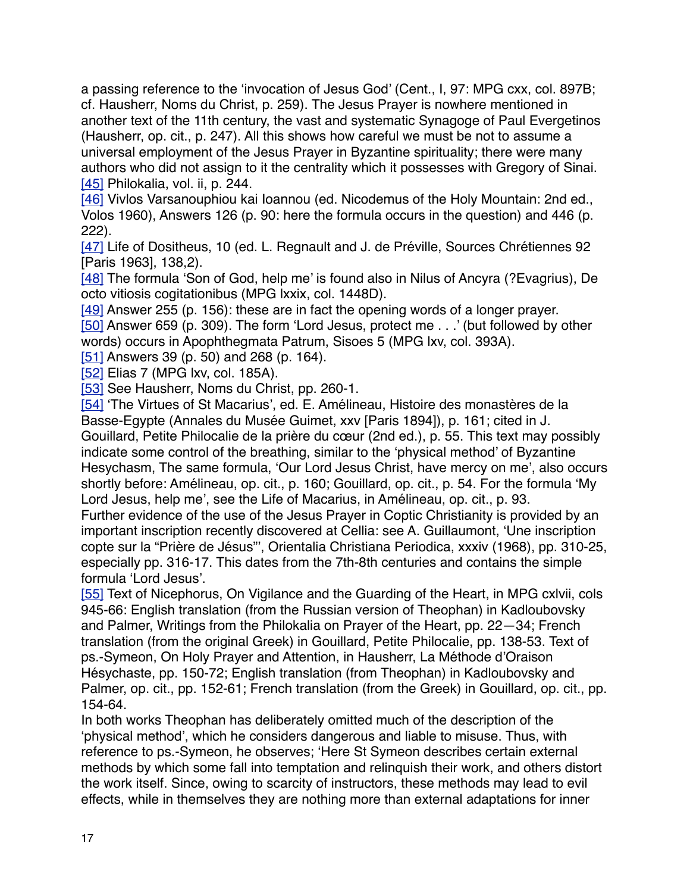a passing reference to the 'invocation of Jesus God' (Cent., I, 97: MPG cxx, col. 897B; cf. Hausherr, Noms du Christ, p. 259). The Jesus Prayer is nowhere mentioned in another text of the 11th century, the vast and systematic Synagoge of Paul Evergetinos (Hausherr, op. cit., p. 247). All this shows how careful we must be not to assume a universal employment of the Jesus Prayer in Byzantine spirituality; there were many authors who did not assign to it the centrality which it possesses with Gregory of Sinai. [\[45\]](http://www.bogoslov.ru/text/2588738.html#_ftnref46) Philokalia, vol. ii, p. 244.

[\[46\]](http://www.bogoslov.ru/text/2588738.html#_ftnref47) Vivlos Varsanouphiou kai Ioannou (ed. Nicodemus of the Holy Mountain: 2nd ed., Volos 1960), Answers 126 (p. 90: here the formula occurs in the question) and 446 (p. 222).

[\[47\]](http://www.bogoslov.ru/text/2588738.html#_ftnref48) Life of Dositheus, 10 (ed. L. Regnault and J. de Préville, Sources Chrétiennes 92 [Paris 1963], 138,2).

[\[48\]](http://www.bogoslov.ru/text/2588738.html#_ftnref49) The formula 'Son of God, help me' is found also in Nilus of Ancyra (?Evagrius), De octo vitiosis cogitationibus (MPG lxxix, col. 1448D).

[\[49\]](http://www.bogoslov.ru/text/2588738.html#_ftnref50) Answer 255 (p. 156): these are in fact the opening words of a longer prayer. [\[50\]](http://www.bogoslov.ru/text/2588738.html#_ftnref51) Answer 659 (p. 309). The form 'Lord Jesus, protect me . . .' (but followed by other words) occurs in Apophthegmata Patrum, Sisoes 5 (MPG lxv, col. 393A).

[\[51\]](http://www.bogoslov.ru/text/2588738.html#_ftnref52) Answers 39 (p. 50) and 268 (p. 164).

[\[52\]](http://www.bogoslov.ru/text/2588738.html#_ftnref53) Elias 7 (MPG lxv, col. 185A).

[\[53\]](http://www.bogoslov.ru/text/2588738.html#_ftnref54) See Hausherr, Noms du Christ, pp. 260-1.

[\[54\]](http://www.bogoslov.ru/text/2588738.html#_ftnref55) 'The Virtues of St Macarius', ed. E. Amélineau, Histoire des monastères de la Basse-Egypte (Annales du Musée Guimet, xxv [Paris 1894]), p. 161; cited in J. Gouillard, Petite Philocalie de la prière du cœur (2nd ed.), p. 55. This text may possibly indicate some control of the breathing, similar to the 'physical method' of Byzantine Hesychasm, The same formula, 'Our Lord Jesus Christ, have mercy on me', also occurs shortly before: Amélineau, op. cit., p. 160; Gouillard, op. cit., p. 54. For the formula 'My Lord Jesus, help me', see the Life of Macarius, in Amélineau, op. cit., p. 93. Further evidence of the use of the Jesus Prayer in Coptic Christianity is provided by an important inscription recently discovered at Cellia: see A. Guillaumont, 'Une inscription copte sur la "Prière de Jésus"', Orientalia Christiana Periodica, xxxiv (1968), pp. 310-25, especially pp. 316-17. This dates from the 7th-8th centuries and contains the simple formula 'Lord Jesus'.

[\[55\]](http://www.bogoslov.ru/text/2588738.html#_ftnref56) Text of Nicephorus, On Vigilance and the Guarding of the Heart, in MPG cxlvii, cols 945-66: English translation (from the Russian version of Theophan) in Kadloubovsky and Palmer, Writings from the Philokalia on Prayer of the Heart, pp. 22—34; French translation (from the original Greek) in Gouillard, Petite Philocalie, pp. 138-53. Text of ps.-Symeon, On Holy Prayer and Attention, in Hausherr, La Méthode d'Oraison Hésychaste, pp. 150-72; English translation (from Theophan) in Kadloubovsky and Palmer, op. cit., pp. 152-61; French translation (from the Greek) in Gouillard, op. cit., pp. 154-64.

In both works Theophan has deliberately omitted much of the description of the 'physical method', which he considers dangerous and liable to misuse. Thus, with reference to ps.-Symeon, he observes; 'Here St Symeon describes certain external methods by which some fall into temptation and relinquish their work, and others distort the work itself. Since, owing to scarcity of instructors, these methods may lead to evil effects, while in themselves they are nothing more than external adaptations for inner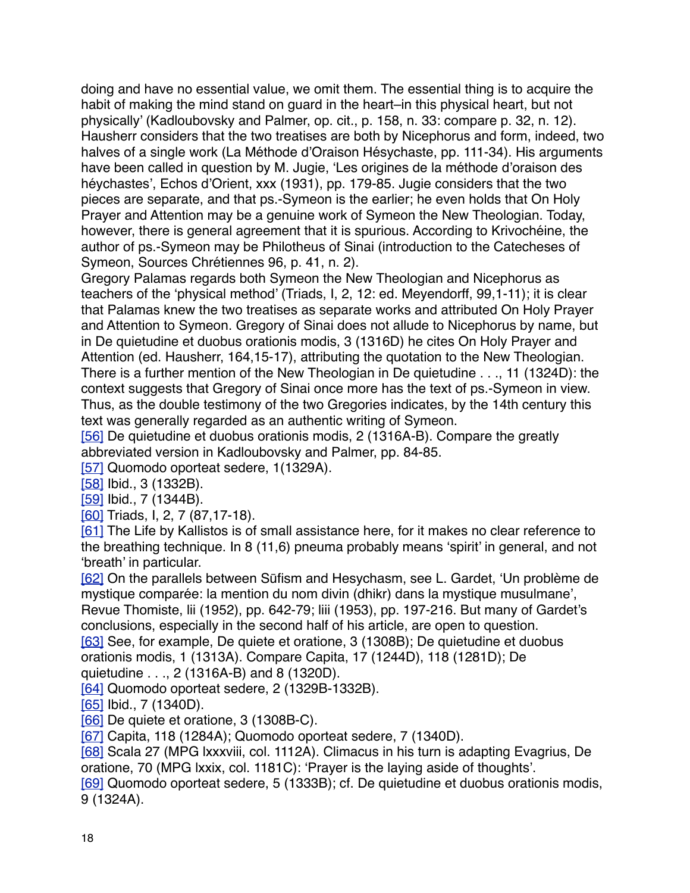doing and have no essential value, we omit them. The essential thing is to acquire the habit of making the mind stand on guard in the heart–in this physical heart, but not physically' (Kadloubovsky and Palmer, op. cit., p. 158, n. 33: compare p. 32, n. 12). Hausherr considers that the two treatises are both by Nicephorus and form, indeed, two halves of a single work (La Méthode d'Oraison Hésychaste, pp. 111-34). His arguments have been called in question by M. Jugie, 'Les origines de la méthode d'oraison des héychastes', Echos d'Orient, xxx (1931), pp. 179-85. Jugie considers that the two pieces are separate, and that ps.-Symeon is the earlier; he even holds that On Holy Prayer and Attention may be a genuine work of Symeon the New Theologian. Today, however, there is general agreement that it is spurious. According to Krivochéine, the author of ps.-Symeon may be Philotheus of Sinai (introduction to the Catecheses of Symeon, Sources Chrétiennes 96, p. 41, n. 2).

Gregory Palamas regards both Symeon the New Theologian and Nicephorus as teachers of the 'physical method' (Triads, I, 2, 12: ed. Meyendorff, 99,1-11); it is clear that Palamas knew the two treatises as separate works and attributed On Holy Prayer and Attention to Symeon. Gregory of Sinai does not allude to Nicephorus by name, but in De quietudine et duobus orationis modis, 3 (1316D) he cites On Holy Prayer and Attention (ed. Hausherr, 164,15-17), attributing the quotation to the New Theologian. There is a further mention of the New Theologian in De quietudine . . ., 11 (1324D): the context suggests that Gregory of Sinai once more has the text of ps.-Symeon in view. Thus, as the double testimony of the two Gregories indicates, by the 14th century this text was generally regarded as an authentic writing of Symeon.

[\[56\]](http://www.bogoslov.ru/text/2588738.html#_ftnref57) De quietudine et duobus orationis modis, 2 (1316A-B). Compare the greatly abbreviated version in Kadloubovsky and Palmer, pp. 84-85.

[\[57\]](http://www.bogoslov.ru/text/2588738.html#_ftnref58) Quomodo oporteat sedere, 1(1329A).

[\[58\]](http://www.bogoslov.ru/text/2588738.html#_ftnref59) Ibid., 3 (1332B).

[\[59\]](http://www.bogoslov.ru/text/2588738.html#_ftnref60) Ibid., 7 (1344B).

[\[60\]](http://www.bogoslov.ru/text/2588738.html#_ftnref61) Triads, I, 2, 7 (87,17-18).

[\[61\]](http://www.bogoslov.ru/text/2588738.html#_ftnref62) The Life by Kallistos is of small assistance here, for it makes no clear reference to the breathing technique. In 8 (11,6) pneuma probably means 'spirit' in general, and not 'breath' in particular.

[\[62\]](http://www.bogoslov.ru/text/2588738.html#_ftnref63) On the parallels between Sūfism and Hesychasm, see L. Gardet, 'Un problème de mystique comparée: la mention du nom divin (dhikr) dans la mystique musulmane', Revue Thomiste, lii (1952), pp. 642-79; liii (1953), pp. 197-216. But many of Gardet's conclusions, especially in the second half of his article, are open to question. [\[63\]](http://www.bogoslov.ru/text/2588738.html#_ftnref64) See, for example, De quiete et oratione, 3 (1308B); De quietudine et duobus orationis modis, 1 (1313A). Compare Capita, 17 (1244D), 118 (1281D); De

quietudine . . ., 2 (1316A-B) and 8 (1320D).

[\[64\]](http://www.bogoslov.ru/text/2588738.html#_ftnref65) Quomodo oporteat sedere, 2 (1329B-1332B).

[\[65\]](http://www.bogoslov.ru/text/2588738.html#_ftnref66) Ibid., 7 (1340D).

[\[66\]](http://www.bogoslov.ru/text/2588738.html#_ftnref67) De quiete et oratione, 3 (1308B-C).

[\[67\]](http://www.bogoslov.ru/text/2588738.html#_ftnref68) Capita, 118 (1284A); Quomodo oporteat sedere, 7 (1340D).

[\[68\]](http://www.bogoslov.ru/text/2588738.html#_ftnref69) Scala 27 (MPG lxxxviii, col. 1112A). Climacus in his turn is adapting Evagrius, De oratione, 70 (MPG lxxix, col. 1181C): 'Prayer is the laying aside of thoughts'.

[\[69\]](http://www.bogoslov.ru/text/2588738.html#_ftnref70) Quomodo oporteat sedere, 5 (1333B); cf. De quietudine et duobus orationis modis, 9 (1324A).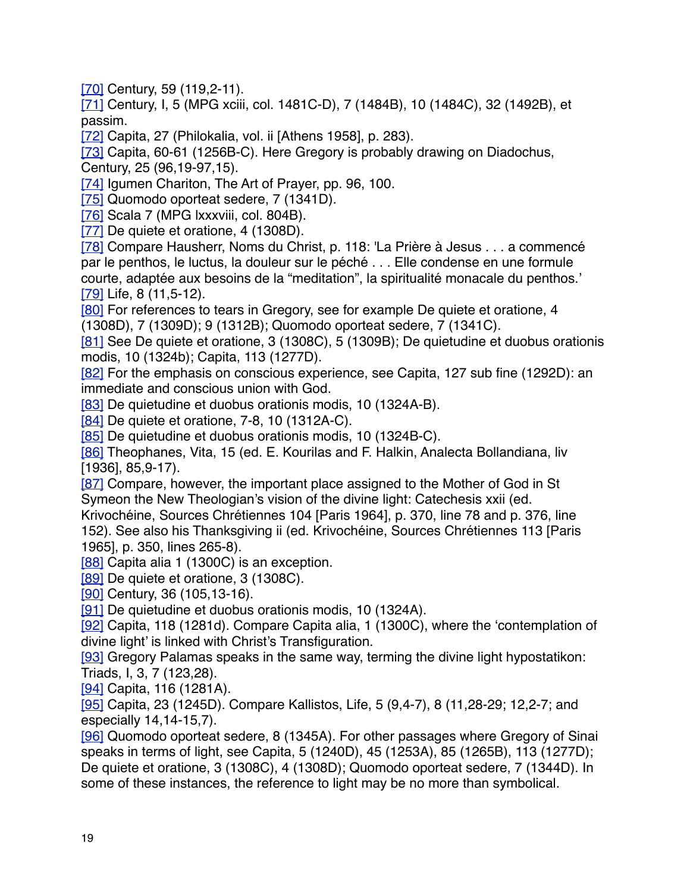[\[70\]](http://www.bogoslov.ru/text/2588738.html#_ftnref71) Century, 59 (119, 2-11).

[\[71\]](http://www.bogoslov.ru/text/2588738.html#_ftnref72) Century, I, 5 (MPG xciii, col. 1481C-D), 7 (1484B), 10 (1484C), 32 (1492B), et passim.

[\[72\]](http://www.bogoslov.ru/text/2588738.html#_ftnref73) Capita, 27 (Philokalia, vol. ii [Athens 1958], p. 283).

[\[73\]](http://www.bogoslov.ru/text/2588738.html#_ftnref74) Capita, 60-61 (1256B-C). Here Gregory is probably drawing on Diadochus, Century, 25 (96,19-97,15).

[\[74\]](http://www.bogoslov.ru/text/2588738.html#_ftnref75) Igumen Chariton, The Art of Prayer, pp. 96, 100.

[\[75\]](http://www.bogoslov.ru/text/2588738.html#_ftnref76) Quomodo oporteat sedere, 7 (1341D).

[\[76\]](http://www.bogoslov.ru/text/2588738.html#_ftnref77) Scala 7 (MPG lxxxviii, col. 804B).

[\[77\]](http://www.bogoslov.ru/text/2588738.html#_ftnref78) De quiete et oratione, 4 (1308D).

[\[78\]](http://www.bogoslov.ru/text/2588738.html#_ftnref79) Compare Hausherr, Noms du Christ, p. 118: 'La Prière à Jesus . . . a commencé par le penthos, le luctus, la douleur sur le péché . . . Elle condense en une formule courte, adaptée aux besoins de la "meditation", la spiritualité monacale du penthos.' [\[79\]](http://www.bogoslov.ru/text/2588738.html#_ftnref80) Life, 8 (11,5-12).

[\[80\]](http://www.bogoslov.ru/text/2588738.html#_ftnref81) For references to tears in Gregory, see for example De quiete et oratione, 4 (1308D), 7 (1309D); 9 (1312B); Quomodo oporteat sedere, 7 (1341C).

[\[81\]](http://www.bogoslov.ru/text/2588738.html#_ftnref82) See De quiete et oratione, 3 (1308C), 5 (1309B); De quietudine et duobus orationis modis, 10 (1324b); Capita, 113 (1277D).

[\[82\]](http://www.bogoslov.ru/text/2588738.html#_ftnref83) For the emphasis on conscious experience, see Capita, 127 sub fine (1292D): an immediate and conscious union with God.

[\[83\]](http://www.bogoslov.ru/text/2588738.html#_ftnref84) De quietudine et duobus orationis modis, 10 (1324A-B).

[\[84\]](http://www.bogoslov.ru/text/2588738.html#_ftnref85) De quiete et oratione, 7-8, 10 (1312A-C).

[\[85\]](http://www.bogoslov.ru/text/2588738.html#_ftnref86) De quietudine et duobus orationis modis, 10 (1324B-C).

[\[86\]](http://www.bogoslov.ru/text/2588738.html#_ftnref87) Theophanes, Vita, 15 (ed. E. Kourilas and F. Halkin, Analecta Bollandiana, liv [1936], 85,9-17).

[\[87\]](http://www.bogoslov.ru/text/2588738.html#_ftnref88) Compare, however, the important place assigned to the Mother of God in St Symeon the New Theologian's vision of the divine light: Catechesis xxii (ed.

Krivochéine, Sources Chrétiennes 104 [Paris 1964], p. 370, line 78 and p. 376, line 152). See also his Thanksgiving ii (ed. Krivochéine, Sources Chrétiennes 113 [Paris 1965], p. 350, lines 265-8).

[\[88\]](http://www.bogoslov.ru/text/2588738.html#_ftnref89) Capita alia 1 (1300C) is an exception.

[\[89\]](http://www.bogoslov.ru/text/2588738.html#_ftnref90) De quiete et oratione, 3 (1308C).

[\[90\]](http://www.bogoslov.ru/text/2588738.html#_ftnref91) Century, 36 (105, 13-16).

[\[91\]](http://www.bogoslov.ru/text/2588738.html#_ftnref92) De quietudine et duobus orationis modis, 10 (1324A).

[\[92\]](http://www.bogoslov.ru/text/2588738.html#_ftnref93) Capita, 118 (1281d). Compare Capita alia, 1 (1300C), where the 'contemplation of divine light' is linked with Christ's Transfiguration.

[\[93\]](http://www.bogoslov.ru/text/2588738.html#_ftnref94) Gregory Palamas speaks in the same way, terming the divine light hypostatikon: Triads, I, 3, 7 (123,28).

[\[94\]](http://www.bogoslov.ru/text/2588738.html#_ftnref95) Capita, 116 (1281A).

[\[95\]](http://www.bogoslov.ru/text/2588738.html#_ftnref96) Capita, 23 (1245D). Compare Kallistos, Life, 5 (9,4-7), 8 (11,28-29; 12,2-7; and especially 14,14-15,7).

[\[96\]](http://www.bogoslov.ru/text/2588738.html#_ftnref97) Quomodo oporteat sedere, 8 (1345A). For other passages where Gregory of Sinai speaks in terms of light, see Capita, 5 (1240D), 45 (1253A), 85 (1265B), 113 (1277D); De quiete et oratione, 3 (1308C), 4 (1308D); Quomodo oporteat sedere, 7 (1344D). In some of these instances, the reference to light may be no more than symbolical.